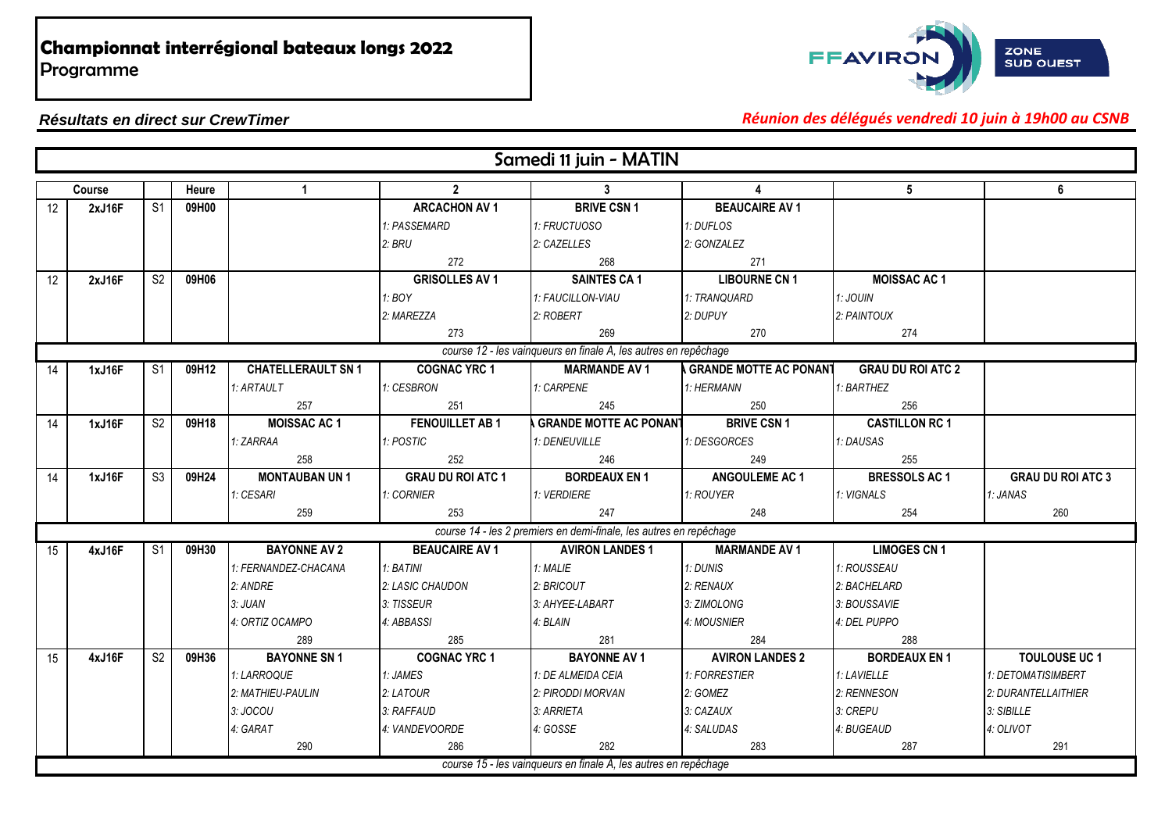

#### *Résultats en direct sur CrewTimer Réunion des délégués vendredi 10 juin à 19h00 au CSNB*

|                   |        |                |       |                           |                          | Samedi 11 juin - MATIN                                             |                                 |                          |                          |
|-------------------|--------|----------------|-------|---------------------------|--------------------------|--------------------------------------------------------------------|---------------------------------|--------------------------|--------------------------|
|                   | Course |                | Heure | $\mathbf{1}$              | $\overline{2}$           | $\mathbf{3}$                                                       | 4                               | 5 <sup>5</sup>           | 6                        |
| $12 \overline{ }$ | 2xJ16F | S <sub>1</sub> | 09H00 |                           | <b>ARCACHON AV 1</b>     | <b>BRIVE CSN 1</b>                                                 | <b>BEAUCAIRE AV 1</b>           |                          |                          |
|                   |        |                |       |                           | 1: PASSEMARD             | 1: FRUCTUOSO                                                       | 1: DUFLOS                       |                          |                          |
|                   |        |                |       |                           | 2: BRU                   | 2: CAZELLES                                                        | 2: GONZALEZ                     |                          |                          |
|                   |        |                |       |                           | 272                      | 268                                                                | 271                             |                          |                          |
| 12                | 2xJ16F | S <sub>2</sub> | 09H06 |                           | <b>GRISOLLES AV 1</b>    | <b>SAINTES CA1</b>                                                 | <b>LIBOURNE CN 1</b>            | <b>MOISSAC AC1</b>       |                          |
|                   |        |                |       |                           | 1:BOY                    | 1: FAUCILLON-VIAU                                                  | 1: TRANQUARD                    | 1: JOUIN                 |                          |
|                   |        |                |       |                           | 2: MAREZZA               | 2: ROBERT                                                          | 2: DUPUY                        | 2: PAINTOUX              |                          |
|                   |        |                |       |                           | 273                      | 269                                                                | 270                             | 274                      |                          |
|                   |        |                |       |                           |                          | course 12 - les vainqueurs en finale A, les autres en repêchage    |                                 |                          |                          |
| 14                | 1xJ16F | S <sub>1</sub> | 09H12 | <b>CHATELLERAULT SN 1</b> | <b>COGNAC YRC 1</b>      | <b>MARMANDE AV 1</b>                                               | <b>A GRANDE MOTTE AC PONANT</b> | <b>GRAU DU ROI ATC 2</b> |                          |
|                   |        |                |       | 1: ARTAULT                | 1: CESBRON               | 1: CARPENE                                                         | 1: HERMANN                      | 1: BARTHEZ               |                          |
|                   |        |                |       | 257                       | 251                      | 245                                                                | 250                             | 256                      |                          |
| 14                | 1xJ16F | S <sub>2</sub> | 09H18 | <b>MOISSAC AC 1</b>       | <b>FENOUILLET AB1</b>    | <b>GRANDE MOTTE AC PONANT</b>                                      | <b>BRIVE CSN 1</b>              | <b>CASTILLON RC 1</b>    |                          |
|                   |        |                |       | 1: ZARRAA                 | 1: POSTIC                | 1: DENEUVILLE                                                      | 1: DESGORCES                    | 1: DAUSAS                |                          |
|                   |        |                |       | 258                       | 252                      | 246                                                                | 249                             | 255                      |                          |
| 14                | 1xJ16F | S <sub>3</sub> | 09H24 | <b>MONTAUBAN UN1</b>      | <b>GRAU DU ROI ATC 1</b> | <b>BORDEAUX EN 1</b>                                               | <b>ANGOULEME AC 1</b>           | <b>BRESSOLS AC 1</b>     | <b>GRAU DU ROI ATC 3</b> |
|                   |        |                |       | 1: CESARI                 | 1: CORNIER               | 1: VERDIERE                                                        | 1: ROUYER                       | 1: VIGNALS               | 1: JANAS                 |
|                   |        |                |       | 259                       | 253                      | 247                                                                | 248                             | 254                      | 260                      |
|                   |        |                |       |                           |                          | course 14 - les 2 premiers en demi-finale, les autres en repêchage |                                 |                          |                          |
| 15                | 4xJ16F | S <sub>1</sub> | 09H30 | <b>BAYONNE AV 2</b>       | <b>BEAUCAIRE AV 1</b>    | <b>AVIRON LANDES 1</b>                                             | <b>MARMANDE AV 1</b>            | <b>LIMOGES CN 1</b>      |                          |
|                   |        |                |       | 1: FERNANDEZ-CHACANA      | 1: BATINI                | 1: MALIE                                                           | 1: DUNIS                        | 1: ROUSSEAU              |                          |
|                   |        |                |       | 2: ANDRE                  | 2: LASIC CHAUDON         | 2: BRICOUT                                                         | 2: RENAUX                       | 2: BACHELARD             |                          |
|                   |        |                |       | 3: JUAN                   | 3: TISSEUR               | 3: AHYEE-LABART                                                    | 3: ZIMOLONG                     | 3: BOUSSAVIE             |                          |
|                   |        |                |       | 4: ORTIZ OCAMPO           | 4: ABBASSI               | 4: BLAIN                                                           | 4: MOUSNIER                     | 4: DEL PUPPO             |                          |
|                   |        |                |       | 289                       | 285                      | 281                                                                | 284                             | 288                      |                          |
| 15                | 4xJ16F | S <sub>2</sub> | 09H36 | <b>BAYONNE SN1</b>        | <b>COGNAC YRC 1</b>      | <b>BAYONNE AV 1</b>                                                | <b>AVIRON LANDES 2</b>          | <b>BORDEAUX EN1</b>      | <b>TOULOUSE UC1</b>      |
|                   |        |                |       | 1: LARROQUE               | 1: JAMES                 | 1: DE ALMEIDA CEIA                                                 | 1: FORRESTIER                   | 1: LAVIELLE              | 1: DETOMATISIMBERT       |
|                   |        |                |       | 2: MATHIEU-PAULIN         | 2: LATOUR                | 2: PIRODDI MORVAN                                                  | 2: GOMEZ                        | 2: RENNESON              | 2: DURANTELLAITHIER      |
|                   |        |                |       | 3: JOCOU                  | 3: RAFFAUD               | 3: ARRIETA                                                         | 3: CAZAUX                       | 3: CREPU                 | 3: SIBILLE               |
|                   |        |                |       | 4: GARAT                  | 4: VANDEVOORDE           | 4: GOSSE                                                           | 4: SALUDAS                      | 4: BUGEAUD               | 4: OLIVOT                |
|                   |        |                |       | 290                       | 286                      | 282                                                                | 283                             | 287                      | 291                      |
|                   |        |                |       |                           |                          | course 15 - les vainqueurs en finale A, les autres en repêchage    |                                 |                          |                          |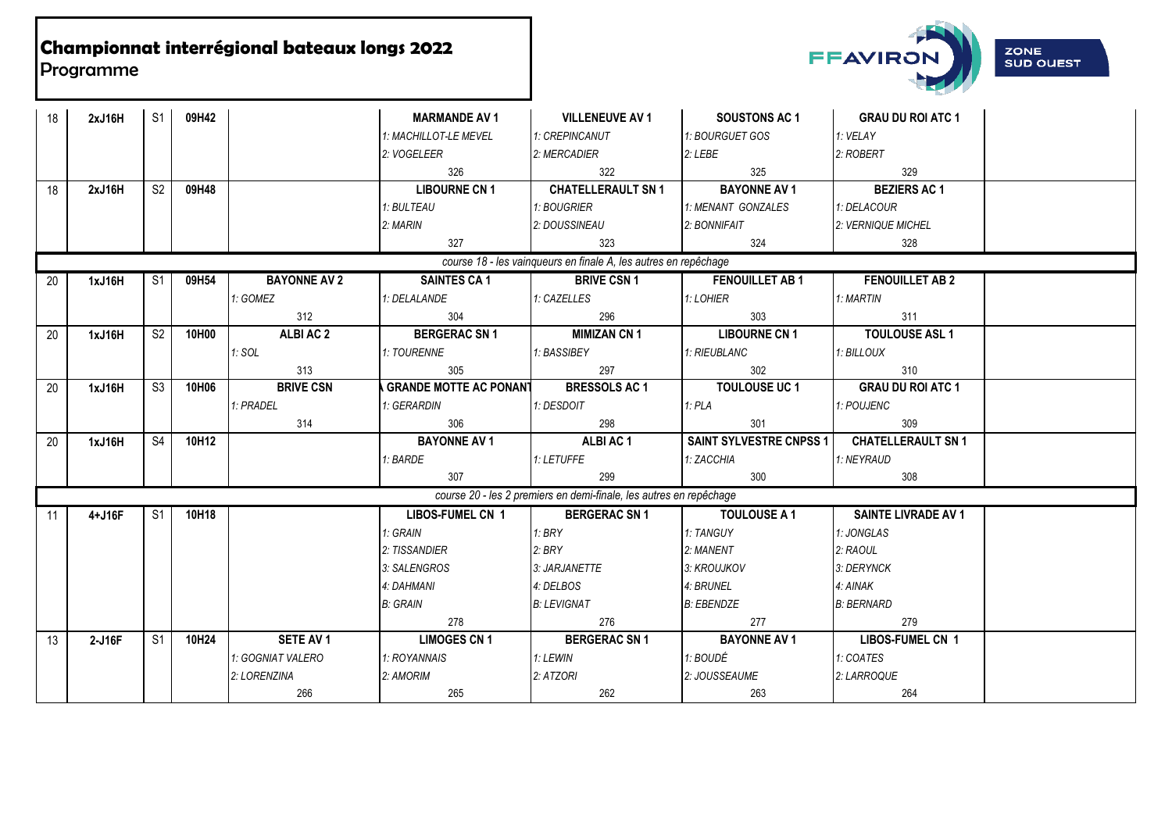

| 18 | 2xJ16H | S <sub>1</sub> | 09H42 |                     | <b>MARMANDE AV 1</b>          | <b>VILLENEUVE AV 1</b>                                             | <b>SOUSTONS AC 1</b>    | <b>GRAU DU ROI ATC 1</b>   |
|----|--------|----------------|-------|---------------------|-------------------------------|--------------------------------------------------------------------|-------------------------|----------------------------|
|    |        |                |       |                     | 1: MACHILLOT-LE MEVEL         | 1: CREPINCANUT                                                     | 1: BOURGUET GOS         | 1: VELAY                   |
|    |        |                |       |                     | 2: VOGELEER                   | 2: MERCADIER                                                       | 2:LEBE                  | 2: ROBERT                  |
|    |        |                |       |                     | 326                           | 322                                                                | 325                     | 329                        |
| 18 | 2xJ16H | S <sub>2</sub> | 09H48 |                     | <b>LIBOURNE CN 1</b>          | <b>CHATELLERAULT SN 1</b>                                          | <b>BAYONNE AV 1</b>     | <b>BEZIERS AC 1</b>        |
|    |        |                |       |                     | 1: BULTEAU                    | 1: BOUGRIER                                                        | 1: MENANT GONZALES      | 1: DELACOUR                |
|    |        |                |       |                     | 2: MARIN                      | 2: DOUSSINEAU                                                      | 2: BONNIFAIT            | 2: VERNIQUE MICHEL         |
|    |        |                |       |                     | 327                           | 323                                                                | 324                     | 328                        |
|    |        |                |       |                     |                               | course 18 - les vainqueurs en finale A, les autres en repêchage    |                         |                            |
| 20 | 1xJ16H | S <sub>1</sub> | 09H54 | <b>BAYONNE AV 2</b> | <b>SAINTES CA 1</b>           | <b>BRIVE CSN 1</b>                                                 | <b>FENOUILLET AB1</b>   | <b>FENOUILLET AB 2</b>     |
|    |        |                |       | 1: GOMEZ            | 1: DELALANDE                  | 1: CAZELLES                                                        | 1:LOHIER                | 1: MARTIN                  |
|    |        |                |       | 312                 | 304                           | 296                                                                | 303                     | 311                        |
| 20 | 1xJ16H | S <sub>2</sub> | 10H00 | ALBI AC 2           | <b>BERGERAC SN 1</b>          | <b>MIMIZAN CN 1</b>                                                | <b>LIBOURNE CN 1</b>    | <b>TOULOUSE ASL 1</b>      |
|    |        |                |       | 1: SOL              | 1: TOURENNE                   | 1: BASSIBEY                                                        | 1: RIEUBLANC            | 1: BILLOUX                 |
|    |        |                |       | 313                 | 305                           | 297                                                                | 302                     | 310                        |
| 20 | 1xJ16H | S3             | 10H06 | <b>BRIVE CSN</b>    | <b>GRANDE MOTTE AC PONANT</b> | <b>BRESSOLS AC 1</b>                                               | <b>TOULOUSE UC 1</b>    | <b>GRAU DU ROI ATC 1</b>   |
|    |        |                |       | 1: PRADEL           | 1: GERARDIN                   | 1: DESDOIT                                                         | 1:PLA                   | 1: POUJENC                 |
|    |        |                |       | 314                 | 306                           | 298                                                                | 301                     | 309                        |
| 20 | 1xJ16H | S <sub>4</sub> | 10H12 |                     | <b>BAYONNE AV 1</b>           | ALBI AC 1                                                          | SAINT SYLVESTRE CNPSS 1 | <b>CHATELLERAULT SN 1</b>  |
|    |        |                |       |                     | 1: BARDE                      | 1: LETUFFE                                                         | 1: ZACCHIA              | 1: NEYRAUD                 |
|    |        |                |       |                     | 307                           | 299                                                                | 300                     | 308                        |
|    |        |                |       |                     |                               | course 20 - les 2 premiers en demi-finale, les autres en repêchage |                         |                            |
| 11 | 4+J16F | S <sub>1</sub> | 10H18 |                     | <b>LIBOS-FUMEL CN 1</b>       | <b>BERGERAC SN 1</b>                                               | <b>TOULOUSE A 1</b>     | <b>SAINTE LIVRADE AV 1</b> |
|    |        |                |       |                     | 1: GRAIN                      | 1: BRY                                                             | 1: TANGUY               | 1: JONGLAS                 |
|    |        |                |       |                     | 2: TISSANDIER                 | 2:BRY                                                              | 2: MANENT               | 2: RAOUL                   |
|    |        |                |       |                     | 3: SALENGROS                  | 3: JARJANETTE                                                      | 3: KROUJKOV             | 3: DERYNCK                 |
|    |        |                |       |                     | 4: DAHMANI                    | 4: DELBOS                                                          | 4: BRUNEL               | 4: AINAK                   |
|    |        |                |       |                     | <b>B: GRAIN</b>               | <b>B: LEVIGNAT</b>                                                 | <b>B: EBENDZE</b>       | <b>B: BERNARD</b>          |
|    |        |                |       |                     | 278                           | 276                                                                | 277                     | 279                        |
| 13 | 2-J16F | S1             | 10H24 | SETE AV 1           | <b>LIMOGES CN 1</b>           | <b>BERGERAC SN1</b>                                                | <b>BAYONNE AV 1</b>     | <b>LIBOS-FUMEL CN 1</b>    |
|    |        |                |       | 1: GOGNIAT VALERO   | 1: ROYANNAIS                  | 1: LEWIN                                                           | 1: BOUDÉ                | 1: COATES                  |
|    |        |                |       | 2: LORENZINA        | 2: AMORIM                     | 2: ATZORI                                                          | 2: JOUSSEAUME           | 2: LARROQUE                |
|    |        |                |       | 266                 | 265                           | 262                                                                | 263                     | 264                        |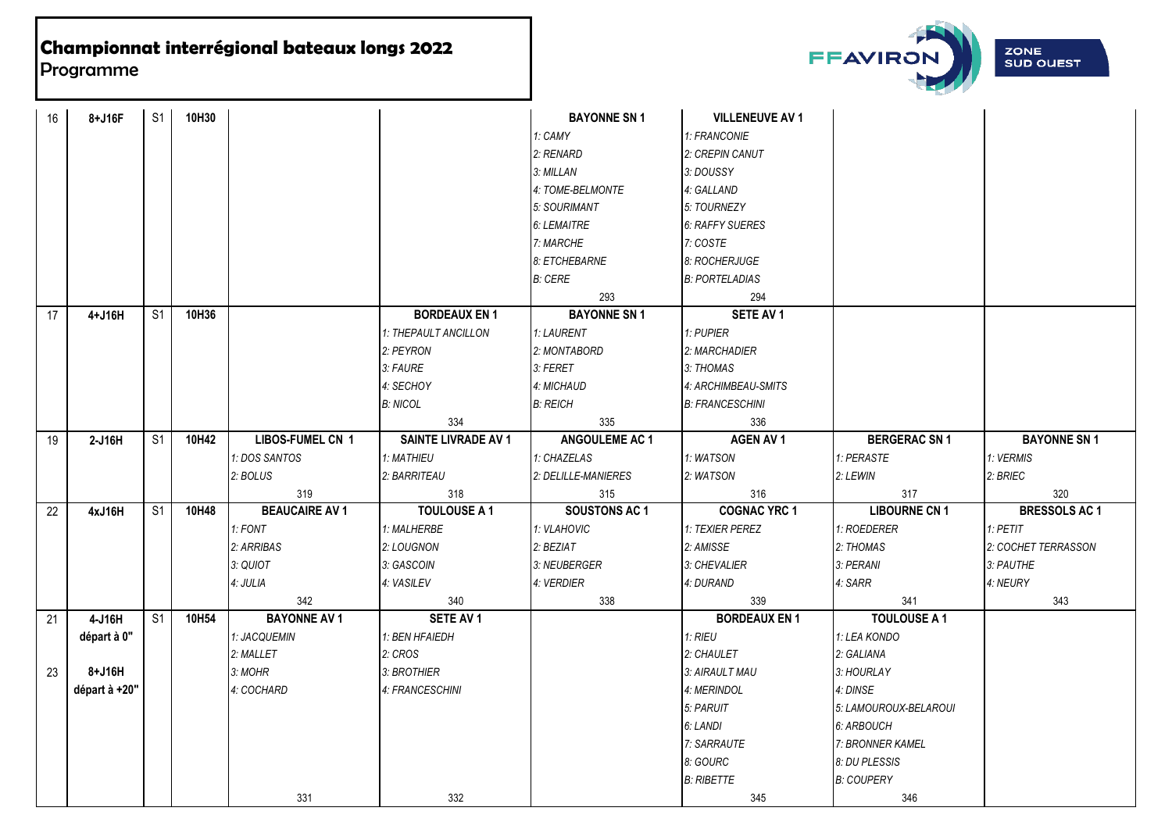

| 16 | 8+J16F        | S <sub>1</sub>           | 10H30 |                       |                      | <b>BAYONNE SN1</b>    | <b>VILLENEUVE AV 1</b> |                       |                      |
|----|---------------|--------------------------|-------|-----------------------|----------------------|-----------------------|------------------------|-----------------------|----------------------|
|    |               |                          |       |                       |                      | 1: CAMY               | 1: FRANCONIE           |                       |                      |
|    |               |                          |       |                       |                      | 2: RENARD             | 2: CREPIN CANUT        |                       |                      |
|    |               |                          |       |                       |                      | 3: MILLAN             | 3: DOUSSY              |                       |                      |
|    |               |                          |       |                       |                      | 4: TOME-BELMONTE      | 4: GALLAND             |                       |                      |
|    |               |                          |       |                       |                      | 5: SOURIMANT          | 5: TOURNEZY            |                       |                      |
|    |               |                          |       |                       |                      | 6: LEMAITRE           | <b>6: RAFFY SUERES</b> |                       |                      |
|    |               |                          |       |                       |                      | 7: MARCHE             | 7: COSTE               |                       |                      |
|    |               |                          |       |                       |                      | 8: ETCHEBARNE         | 8: ROCHERJUGE          |                       |                      |
|    |               |                          |       |                       |                      | <b>B: CERE</b>        | <b>B: PORTELADIAS</b>  |                       |                      |
|    |               |                          |       |                       |                      | 293                   | 294                    |                       |                      |
| 17 | 4+J16H        | S <sub>1</sub>           | 10H36 |                       | <b>BORDEAUX EN 1</b> | <b>BAYONNE SN1</b>    | SETE AV 1              |                       |                      |
|    |               |                          |       |                       | 1: THEPAULT ANCILLON | 1: LAURENT            | 1: PUPIER              |                       |                      |
|    |               |                          |       |                       | 2: PEYRON            | 2: MONTABORD          | 2: MARCHADIER          |                       |                      |
|    |               |                          |       |                       | 3: FAURE             | 3: FERET              | 3: THOMAS              |                       |                      |
|    |               |                          |       |                       | 4: SECHOY            | 4: MICHAUD            | 4: ARCHIMBEAU-SMITS    |                       |                      |
|    |               |                          |       |                       | <b>B: NICOL</b>      | <b>B: REICH</b>       | <b>B: FRANCESCHINI</b> |                       |                      |
|    |               |                          |       |                       | 334                  | 335                   | 336                    |                       |                      |
| 19 | 2-J16H        | $\overline{\mathsf{S}1}$ | 10H42 | LIBOS-FUMEL CN 1      | SAINTE LIVRADE AV 1  | <b>ANGOULEME AC 1</b> | <b>AGEN AV 1</b>       | <b>BERGERAC SN 1</b>  | <b>BAYONNE SN1</b>   |
|    |               |                          |       | 1: DOS SANTOS         | 1: MATHIEU           | 1: CHAZELAS           | 1: WATSON              | 1: PERASTE            | 1: VERMIS            |
|    |               |                          |       | 2: BOLUS              | 2: BARRITEAU         | 2: DELILLE-MANIERES   | 2: WATSON              | 2: LEWIN              | 2: BRIEC             |
|    |               |                          |       | 319                   | 318                  | 315                   | 316                    | 317                   | 320                  |
| 22 | 4xJ16H        | S <sub>1</sub>           | 10H48 | <b>BEAUCAIRE AV 1</b> | <b>TOULOUSE A 1</b>  | <b>SOUSTONS AC 1</b>  | <b>COGNAC YRC 1</b>    | <b>LIBOURNE CN 1</b>  | <b>BRESSOLS AC 1</b> |
|    |               |                          |       | 1: FONT               | 1: MALHERBE          | 1: VLAHOVIC           | 1: TEXIER PEREZ        | 1: ROEDERER           | $1:$ PETIT           |
|    |               |                          |       | 2: ARRIBAS            | 2: LOUGNON           | 2: BEZIAT             | 2: AMISSE              | 2: THOMAS             | 2: COCHET TERRASSON  |
|    |               |                          |       | 3: QUIOT              | 3: GASCOIN           | 3: NEUBERGER          | 3: CHEVALIER           | 3: PERANI             | 3: PAUTHE            |
|    |               |                          |       | 4: JULIA              | 4: VASILEV           | 4: VERDIER            | 4: DURAND              | 4: SARR               | 4: NEURY             |
|    |               |                          |       | 342                   | 340                  | 338                   | 339                    | 341                   | 343                  |
| 21 | 4-J16H        | S <sub>1</sub>           | 10H54 | <b>BAYONNE AV 1</b>   | SETE AV 1            |                       | <b>BORDEAUX EN 1</b>   | <b>TOULOUSE A 1</b>   |                      |
|    | départ à 0"   |                          |       | 1: JACQUEMIN          | 1: BEN HFAIEDH       |                       | 1:RIEU                 | 1: LEA KONDO          |                      |
|    |               |                          |       | 2: MALLET             | 2: CROS              |                       | 2: CHAULET             | 2: GALIANA            |                      |
| 23 | 8+J16H        |                          |       | 3: MOHR               | 3: BROTHIER          |                       | 3: AIRAULT MAU         | 3: HOURLAY            |                      |
|    | départ à +20" |                          |       | 4: COCHARD            | 4: FRANCESCHINI      |                       | 4: MERINDOL            | 4: DINSE              |                      |
|    |               |                          |       |                       |                      |                       | 5: PARUIT              | 5: LAMOUROUX-BELAROUI |                      |
|    |               |                          |       |                       |                      |                       | 6: LANDI               | 6: ARBOUCH            |                      |
|    |               |                          |       |                       |                      |                       | 7: SARRAUTE            | 7: BRONNER KAMEL      |                      |
|    |               |                          |       |                       |                      |                       | 8: GOURC               | 8: DU PLESSIS         |                      |
|    |               |                          |       |                       |                      |                       | <b>B: RIBETTE</b>      | <b>B: COUPERY</b>     |                      |
|    |               |                          |       | 331                   | 332                  |                       | 345                    | 346                   |                      |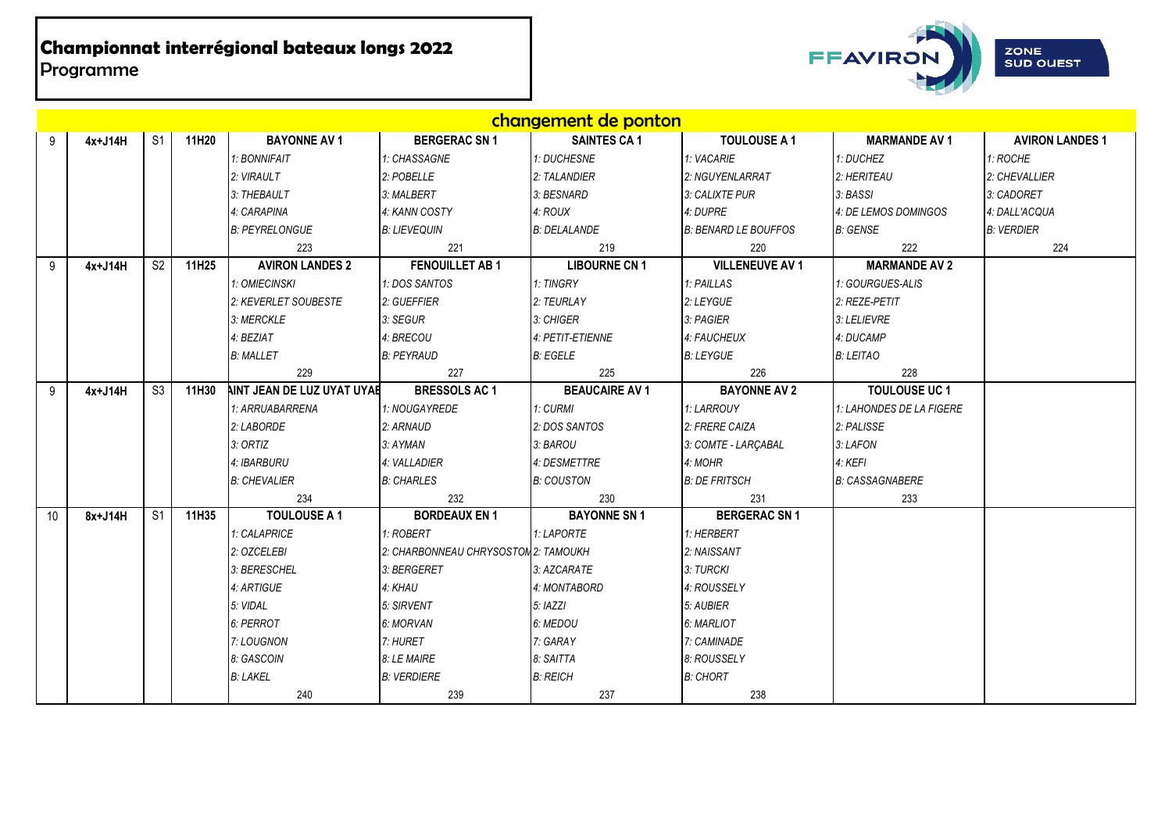

|    |         |                |       |                            |                                      | changement de ponton  |                             |                          |                        |
|----|---------|----------------|-------|----------------------------|--------------------------------------|-----------------------|-----------------------------|--------------------------|------------------------|
| 9  | 4x+J14H | S <sub>1</sub> | 11H20 | <b>BAYONNE AV 1</b>        | <b>BERGERAC SN1</b>                  | <b>SAINTES CA 1</b>   | <b>TOULOUSE A 1</b>         | <b>MARMANDE AV 1</b>     | <b>AVIRON LANDES 1</b> |
|    |         |                |       | 1: BONNIFAIT               | 1: CHASSAGNE                         | 1: DUCHESNE           | 1: VACARIE                  | 1: DUCHEZ                | 1: ROCHE               |
|    |         |                |       | 2: VIRAULT                 | 2: POBELLE                           | 2: TALANDIER          | 2: NGUYENLARRAT             | 2: HERITEAU              | 2: CHEVALLIER          |
|    |         |                |       | 3: THEBAULT                | 3: MALBERT                           | 3: BESNARD            | 3: CALIXTE PUR              | 3: BASSI                 | 3: CADORET             |
|    |         |                |       | 4: CARAPINA                | 4: KANN COSTY                        | 4: ROUX               | 4: DUPRE                    | 4: DE LEMOS DOMINGOS     | 4: DALL'ACQUA          |
|    |         |                |       | <b>B: PEYRELONGUE</b>      | <b>B: LIEVEQUIN</b>                  | <b>B: DELALANDE</b>   | <b>B: BENARD LE BOUFFOS</b> | <b>B: GENSE</b>          | <b>B: VERDIER</b>      |
|    |         |                |       | 223                        | 221                                  | 219                   | 220                         | 222                      | 224                    |
| 9  | 4x+J14H | S <sub>2</sub> | 11H25 | <b>AVIRON LANDES 2</b>     | <b>FENOUILLET AB 1</b>               | <b>LIBOURNE CN 1</b>  | <b>VILLENEUVE AV 1</b>      | <b>MARMANDE AV 2</b>     |                        |
|    |         |                |       | 1: OMIECINSKI              | 1: DOS SANTOS                        | 1: TINGRY             | 1: PAILLAS                  | 1: GOURGUES-ALIS         |                        |
|    |         |                |       | 2: KEVERLET SOUBESTE       | 2: GUEFFIER                          | 2: TEURLAY            | 2: LEYGUE                   | 2: REZE-PETIT            |                        |
|    |         |                |       | 3: MERCKLE                 | 3: SEGUR                             | 3: CHIGER             | 3: PAGIER                   | 3: LELIEVRE              |                        |
|    |         |                |       | 4: BEZIAT                  | 4: BRECOU                            | 4: PETIT-ETIENNE      | 4: FAUCHEUX                 | 4: DUCAMP                |                        |
|    |         |                |       | <b>B: MALLET</b>           | <b>B: PEYRAUD</b>                    | <b>B: EGELE</b>       | <b>B: LEYGUE</b>            | <b>B: LEITAO</b>         |                        |
|    |         |                |       | 229                        | 227                                  | 225                   | 226                         | 228                      |                        |
| 9  | 4x+J14H | S3             | 11H30 | AINT JEAN DE LUZ UYAT UYAE | <b>BRESSOLS AC 1</b>                 | <b>BEAUCAIRE AV 1</b> | <b>BAYONNE AV 2</b>         | <b>TOULOUSE UC 1</b>     |                        |
|    |         |                |       | 1: ARRUABARRENA            | 1: NOUGAYREDE                        | 1: CURMI              | 1: LARROUY                  | 1: LAHONDES DE LA FIGERE |                        |
|    |         |                |       | 2: LABORDE                 | 2: ARNAUD                            | 2: DOS SANTOS         | 2: FRERE CAIZA              | 2: PALISSE               |                        |
|    |         |                |       | 3: ORTIZ                   | 3: AYMAN                             | 3: BAROU              | 3: COMTE - LARÇABAL         | 3: LAFON                 |                        |
|    |         |                |       | 4: IBARBURU                | 4: VALLADIER                         | 4: DESMETTRE          | 4: MOHR                     | 4: KEFI                  |                        |
|    |         |                |       | <b>B: CHEVALIER</b>        | <b>B: CHARLES</b>                    | <b>B: COUSTON</b>     | <b>B: DE FRITSCH</b>        | <b>B: CASSAGNABERE</b>   |                        |
|    |         |                |       | 234                        | 232                                  | 230                   | 231                         | 233                      |                        |
| 10 | 8x+J14H | S <sub>1</sub> | 11H35 | <b>TOULOUSE A 1</b>        | <b>BORDEAUX EN 1</b>                 | <b>BAYONNE SN1</b>    | <b>BERGERAC SN 1</b>        |                          |                        |
|    |         |                |       | 1: CALAPRICE               | 1: ROBERT                            | 1: LAPORTE            | 1: HERBERT                  |                          |                        |
|    |         |                |       | 2: OZCELEBI                | 2: CHARBONNEAU CHRYSOSTON 2: TAMOUKH |                       | 2: NAISSANT                 |                          |                        |
|    |         |                |       | 3: BERESCHEL               | 3: BERGERET                          | 3: AZCARATE           | 3: TURCKI                   |                          |                        |
|    |         |                |       | 4: ARTIGUE                 | 4: KHAU                              | 4: MONTABORD          | 4: ROUSSELY                 |                          |                        |
|    |         |                |       | 5: VIDAL                   | 5: SIRVENT                           | 5: IAZZI              | 5: AUBIER                   |                          |                        |
|    |         |                |       | 6: PERROT                  | 6: MORVAN                            | 6: MEDOU              | 6: MARLIOT                  |                          |                        |
|    |         |                |       | 7: LOUGNON                 | 7: HURET                             | 7: GARAY              | 7: CAMINADE                 |                          |                        |
|    |         |                |       | 8: GASCOIN                 | 8: LE MAIRE                          | 8: SAITTA             | 8: ROUSSELY                 |                          |                        |
|    |         |                |       | <b>B: LAKEL</b>            | <b>B: VERDIERE</b>                   | <b>B: REICH</b>       | <b>B: CHORT</b>             |                          |                        |
|    |         |                |       | 240                        | 239                                  | 237                   | 238                         |                          |                        |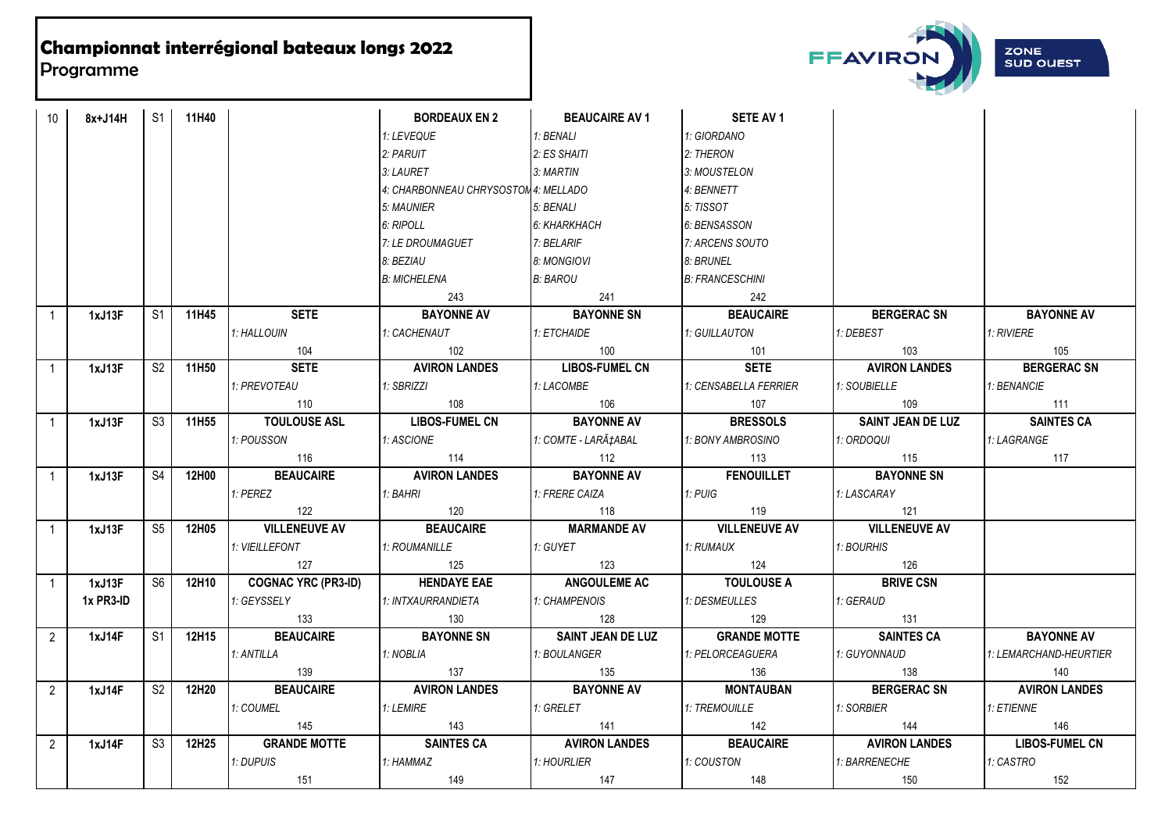

| 10             | 8x+J14H   | S1 I           | 11H40   |                            | <b>BORDEAUX EN 2</b>                 | <b>BEAUCAIRE AV 1</b><br><b>Contract</b> | SETE AV 1              |                          |                        |
|----------------|-----------|----------------|---------|----------------------------|--------------------------------------|------------------------------------------|------------------------|--------------------------|------------------------|
|                |           |                |         |                            | 1: LEVEQUE                           | 1: BENALI                                | 1: GIORDANO            |                          |                        |
|                |           |                |         |                            | 2: PARUIT                            | 2: ES SHAITI                             | 2: THERON              |                          |                        |
|                |           |                |         |                            | 3: LAURET                            | 3: MARTIN                                | 3: MOUSTELON           |                          |                        |
|                |           |                |         |                            | 4: CHARBONNEAU CHRYSOSTOM 4: MELLADO |                                          | 4: BENNETT             |                          |                        |
|                |           |                |         |                            | 5: MAUNIER                           | 5: BENALI                                | 5: TISSOT              |                          |                        |
|                |           |                |         |                            | 6: RIPOLL                            | 6: KHARKHACH                             | 6: BENSASSON           |                          |                        |
|                |           |                |         |                            | 7: LE DROUMAGUET                     | 7: BELARIF                               | 7: ARCENS SOUTO        |                          |                        |
|                |           |                |         |                            | 8: BEZIAU                            | 8: MONGIOVI                              | 8: BRUNEL              |                          |                        |
|                |           |                |         |                            | B: MICHELENA                         | B: BAROU                                 | <b>B: FRANCESCHINI</b> |                          |                        |
|                |           |                |         |                            | 243                                  | 241                                      | 242                    |                          |                        |
|                | 1xJ13F    | S1             | 11H45 l | <b>SETE</b>                | <b>BAYONNE AV</b>                    | <b>BAYONNE SN</b>                        | <b>BEAUCAIRE</b>       | BERGERAC SN              | <b>BAYONNE AV</b>      |
|                |           |                |         | 1: HALLOUIN                | 1: CACHENAUT                         | 1: ETCHAIDE                              | 1: GUILLAUTON          | 1: DEBEST                | <b>1: RIVIERE</b>      |
|                |           |                |         | 104                        | 102                                  | 100                                      | 101                    | 103                      | 105                    |
| $\overline{1}$ | 1xJ13F    | S <sub>2</sub> | 11H50   | <b>SETE</b>                | <b>AVIRON LANDES</b>                 | <b>LIBOS-FUMEL CN</b>                    | <b>SETE</b>            | <b>AVIRON LANDES</b>     | <b>BERGERAC SN</b>     |
|                |           |                |         | 1: PREVOTEAU               | 1: SBRIZZI                           | 1: LACOMBE                               | 1: CENSABELLA FERRIER  | 1: SOUBIELLE             | 1: BENANCIE            |
|                |           |                |         | 110                        | 108                                  | 106                                      | 107                    | 109                      | 111                    |
| $\overline{1}$ | 1xJ13F    | S3             | 11H55   | <b>TOULOUSE ASL</b>        | <b>LIBOS-FUMEL CN</b>                | <b>BAYONNE AV</b>                        | <b>BRESSOLS</b>        | <b>SAINT JEAN DE LUZ</b> | <b>SAINTES CA</b>      |
|                |           |                |         | 1: POUSSON                 | 1: ASCIONE                           | 1: COMTE - LARÇABAL                      | 1: BONY AMBROSINO      | 1: ORDOQUI               | 1: LAGRANGE            |
|                |           |                |         | 116                        | 114                                  | 112                                      | 113                    | 115                      | 117                    |
| $\overline{1}$ | 1xJ13F    | S <sub>4</sub> | 12H00   | <b>BEAUCAIRE</b>           | <b>AVIRON LANDES</b>                 | <b>BAYONNE AV</b>                        | <b>FENOUILLET</b>      | <b>BAYONNE SN</b>        |                        |
|                |           |                |         | 1: PEREZ                   | 1: BAHRI                             | 1: FRERE CAIZA                           | 1: PUIG                | 1: LASCARAY              |                        |
|                |           |                |         | 122                        | 120                                  | 118                                      | 119                    | 121                      |                        |
| $\overline{1}$ | 1xJ13F    | S5             | 12H05   | <b>VILLENEUVE AV</b>       | <b>BEAUCAIRE</b>                     | <b>MARMANDE AV</b>                       | <b>VILLENEUVE AV</b>   | <b>VILLENEUVE AV</b>     |                        |
|                |           |                |         | <b>1: VIEILLEFONT</b>      | 1: ROUMANILLE                        | 1: GUYET                                 | 1: RUMAUX              | 1: BOURHIS               |                        |
|                |           |                |         | 127                        | 125                                  | 123                                      | 124                    | 126                      |                        |
| $\overline{1}$ | 1xJ13F    | S6             | 12H10   | <b>COGNAC YRC (PR3-ID)</b> | <b>HENDAYE EAE</b>                   | <b>ANGOULEME AC</b>                      | <b>TOULOUSE A</b>      | <b>BRIVE CSN</b>         |                        |
|                | 1x PR3-ID |                |         | 1: GEYSSELY                | 1: INTXAURRANDIETA                   | 1: CHAMPENOIS                            | 1: DESMEULLES          | 1: GERAUD                |                        |
|                |           |                |         | 133                        | 130                                  | 128                                      | 129                    | 131                      |                        |
| $\overline{2}$ | 1xJ14F    | S1             | 12H15   | <b>BEAUCAIRE</b>           | <b>BAYONNE SN</b>                    | <b>SAINT JEAN DE LUZ</b>                 | <b>GRANDE MOTTE</b>    | <b>SAINTES CA</b>        | <b>BAYONNE AV</b>      |
|                |           |                |         | 1: ANTILLA                 | 1: NOBLIA                            | 1: BOULANGER                             | 1: PELORCEAGUERA       | 1: GUYONNAUD             | 1: LEMARCHAND-HEURTIER |
|                |           |                |         | 139                        | 137                                  | 135                                      | 136                    | 138                      | 140                    |
| $2^{\circ}$    | 1xJ14F    | S <sub>2</sub> | 12H20   | <b>BEAUCAIRE</b>           | <b>AVIRON LANDES</b>                 | <b>BAYONNE AV</b>                        | <b>MONTAUBAN</b>       | <b>BERGERAC SN</b>       | <b>AVIRON LANDES</b>   |
|                |           |                |         | 1: COUMEL                  | 1: LEMIRE                            | 1: GRELET                                | 1: TREMOUILLE          | 1: SORBIER               | 1: ETIENNE             |
|                |           |                |         | 145                        | 143                                  | 141                                      | 142                    | 144                      | 146                    |
| $2^{\circ}$    | 1xJ14F    | S <sub>3</sub> | 12H25   | <b>GRANDE MOTTE</b>        | <b>SAINTES CA</b>                    | <b>AVIRON LANDES</b>                     | <b>BEAUCAIRE</b>       | <b>AVIRON LANDES</b>     | <b>LIBOS-FUMEL CN</b>  |
|                |           |                |         | 1: DUPUIS                  | 1: HAMMAZ                            | 1: HOURLIER                              | 1: COUSTON             | 1: BARRENECHE            | 1: CASTRO              |
|                |           |                |         | 151                        | 149                                  | 147                                      | 148                    | 150                      | 152                    |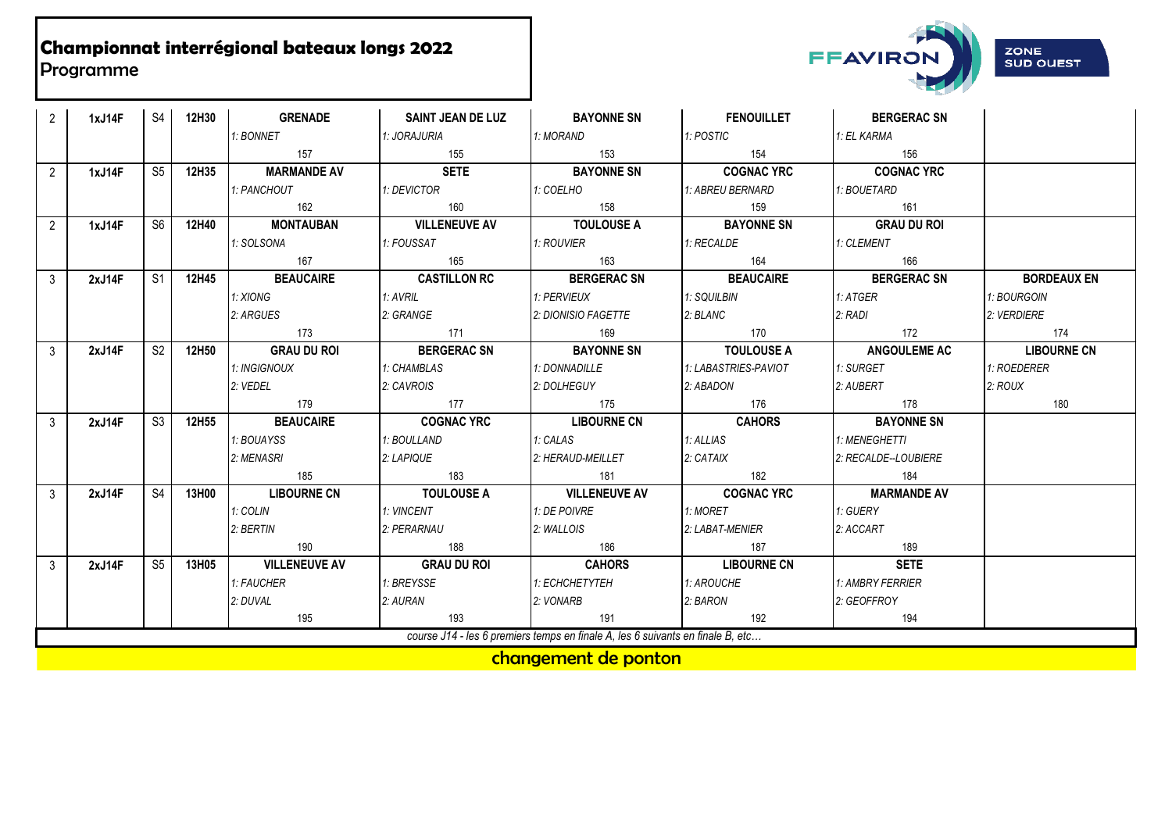

| $\overline{2}$ | 1xJ14F | S <sub>4</sub> | 12H30 | <b>GRENADE</b>       | <b>SAINT JEAN DE LUZ</b> | <b>BAYONNE SN</b>                                                              | <b>FENOUILLET</b>    | <b>BERGERAC SN</b>   |                    |
|----------------|--------|----------------|-------|----------------------|--------------------------|--------------------------------------------------------------------------------|----------------------|----------------------|--------------------|
|                |        |                |       | 1: BONNET            | 1: JORAJURIA             | 1: MORAND                                                                      | 1: POSTIC            | 1: EL KARMA          |                    |
|                |        |                |       | 157                  | 155                      | 153                                                                            | 154                  | 156                  |                    |
| $\mathfrak{p}$ | 1xJ14F | S5             | 12H35 | <b>MARMANDE AV</b>   | <b>SETE</b>              | <b>BAYONNE SN</b>                                                              | <b>COGNAC YRC</b>    | <b>COGNAC YRC</b>    |                    |
|                |        |                |       | 1: PANCHOUT          | 1: DEVICTOR              | 1: COELHO                                                                      | 1: ABREU BERNARD     | 1: BOUETARD          |                    |
|                |        |                |       | 162                  | 160                      | 158                                                                            | 159                  | 161                  |                    |
| $\overline{2}$ | 1xJ14F | S <sub>6</sub> | 12H40 | <b>MONTAUBAN</b>     | <b>VILLENEUVE AV</b>     | <b>TOULOUSE A</b>                                                              | <b>BAYONNE SN</b>    | <b>GRAU DU ROI</b>   |                    |
|                |        |                |       | 1: SOLSONA           | 1: FOUSSAT               | 1: ROUVIER                                                                     | 1: RECALDE           | 1: CLEMENT           |                    |
|                |        |                |       | 167                  | 165                      | 163                                                                            | 164                  | 166                  |                    |
| 3              | 2xJ14F | S <sub>1</sub> | 12H45 | <b>BEAUCAIRE</b>     | <b>CASTILLON RC</b>      | <b>BERGERAC SN</b>                                                             | <b>BEAUCAIRE</b>     | <b>BERGERAC SN</b>   | <b>BORDEAUX EN</b> |
|                |        |                |       | 1: XIONG             | 1: AVRIL                 | 1: PERVIEUX                                                                    | 1: SQUILBIN          | 1: ATGER             | 1: BOURGOIN        |
|                |        |                |       | 2: ARGUES            | 2: GRANGE                | 2: DIONISIO FAGETTE                                                            | 2: BLANC             | $2:$ RADI            | 2: VERDIERE        |
|                |        |                |       | 173                  | 171                      | 169                                                                            | 170                  | 172                  | 174                |
| $\mathcal{E}$  | 2xJ14F | S <sub>2</sub> | 12H50 | <b>GRAU DU ROI</b>   | <b>BERGERAC SN</b>       | <b>BAYONNE SN</b>                                                              | <b>TOULOUSE A</b>    | <b>ANGOULEME AC</b>  | <b>LIBOURNE CN</b> |
|                |        |                |       | 1: INGIGNOUX         | 1: CHAMBLAS              | 1: DONNADILLE                                                                  | 1: LABASTRIES-PAVIOT | 1: SURGET            | 1: ROEDERER        |
|                |        |                |       | 2: VEDEL             | 2: CAVROIS               | 2: DOLHEGUY                                                                    | 2: ABADON            | 2: AUBERT            | 2:ROUX             |
|                |        |                |       | 179                  | 177                      | 175                                                                            | 176                  | 178                  | 180                |
| $\mathcal{E}$  | 2xJ14F | S <sub>3</sub> | 12H55 | <b>BEAUCAIRE</b>     | <b>COGNAC YRC</b>        | <b>LIBOURNE CN</b>                                                             | <b>CAHORS</b>        | <b>BAYONNE SN</b>    |                    |
|                |        |                |       | 1: BOUAYSS           | 1: BOULLAND              | 1: CALAS                                                                       | 1: ALLIAS            | 1: MENEGHETTI        |                    |
|                |        |                |       | 2: MENASRI           | 2: LAPIQUE               | 2: HERAUD-MEILLET                                                              | 2: CATAX             | 2: RECALDE--LOUBIERE |                    |
|                |        |                |       | 185                  | 183                      | 181                                                                            | 182                  | 184                  |                    |
| $\mathbf{3}$   | 2xJ14F | S <sub>4</sub> | 13H00 | <b>LIBOURNE CN</b>   | <b>TOULOUSE A</b>        | <b>VILLENEUVE AV</b>                                                           | <b>COGNAC YRC</b>    | <b>MARMANDE AV</b>   |                    |
|                |        |                |       | 1: COLIN             | 1: VINCENT               | 1: DE POIVRE                                                                   | 1: MORET             | 1: GUERY             |                    |
|                |        |                |       | 2: BERTIN            | 2: PERARNAU              | 2: WALLOIS                                                                     | 2: LABAT-MENIER      | 2: ACCART            |                    |
|                |        |                |       | 190                  | 188                      | 186                                                                            | 187                  | 189                  |                    |
| $\mathbf{3}$   | 2xJ14F | S <sub>5</sub> | 13H05 | <b>VILLENEUVE AV</b> | <b>GRAU DU ROI</b>       | <b>CAHORS</b>                                                                  | <b>LIBOURNE CN</b>   | <b>SETE</b>          |                    |
|                |        |                |       | 1: FAUCHER           | 1: BREYSSE               | 1: ECHCHETYTEH                                                                 | 1: AROUCHE           | 1: AMBRY FERRIER     |                    |
|                |        |                |       | 2: DUVAL             | 2: AURAN                 | 2: VONARB                                                                      | 2: BARON             | 2: GEOFFROY          |                    |
|                |        |                |       | 195                  | 193                      | 191                                                                            | 192                  | 194                  |                    |
|                |        |                |       |                      |                          | course J14 - les 6 premiers temps en finale A, les 6 suivants en finale B, etc |                      |                      |                    |

changement de ponton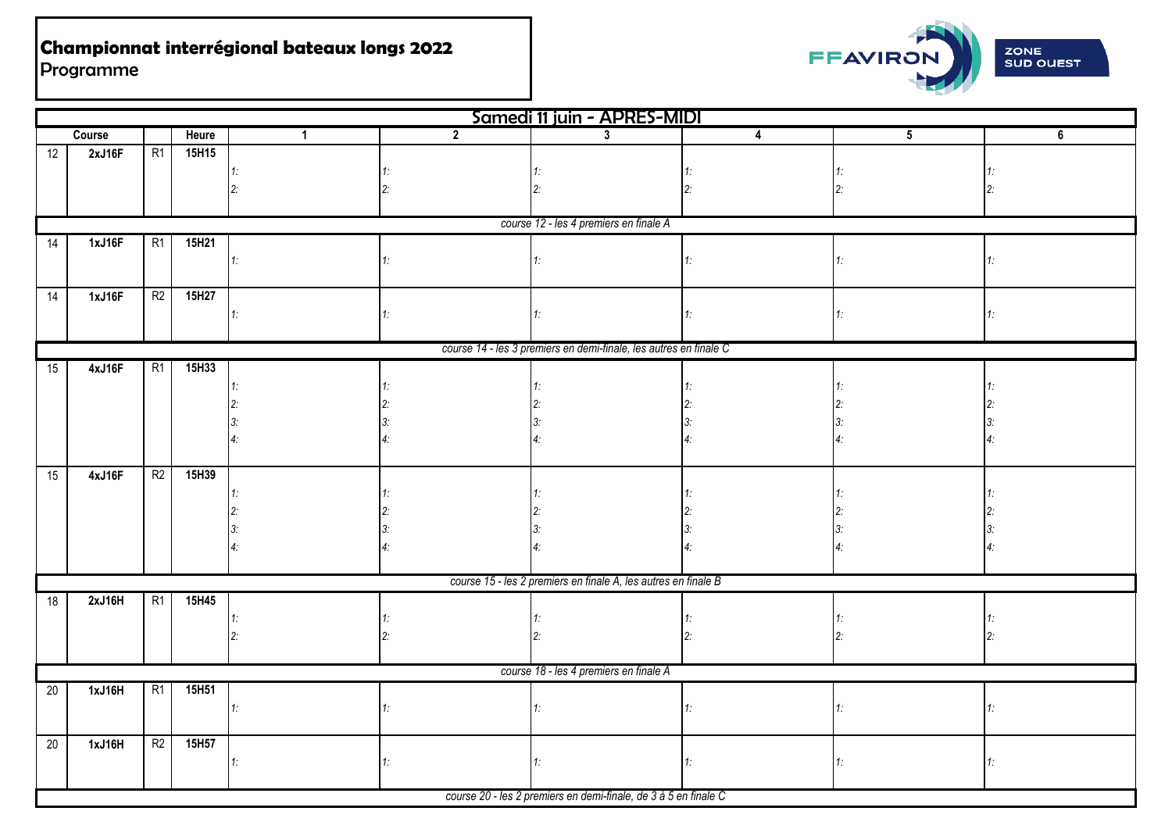

|                 |        |                |       |              |                | Samedi 11 juin - APRES-MIDI                                       |    |    |    |
|-----------------|--------|----------------|-------|--------------|----------------|-------------------------------------------------------------------|----|----|----|
|                 | Course |                | Heure | $\mathbf{1}$ | $\overline{2}$ | $3^{\circ}$                                                       | 4  | 5  | 6  |
| 12              | 2xJ16F | R1             | 15H15 |              |                |                                                                   |    |    |    |
|                 |        |                |       | 1.           |                |                                                                   |    |    |    |
|                 |        |                |       |              |                |                                                                   |    |    |    |
|                 |        |                |       |              |                |                                                                   |    |    |    |
|                 |        |                |       |              |                | course 12 - les 4 premiers en finale A                            |    |    |    |
| 14              | 1xJ16F | R1             | 15H21 |              |                |                                                                   |    |    |    |
|                 |        |                |       | $1 -$        |                |                                                                   |    |    |    |
|                 |        |                |       |              |                |                                                                   |    |    |    |
| 14              | 1xJ16F | R2             | 15H27 |              |                |                                                                   |    |    |    |
|                 |        |                |       | 1.           | 1:             |                                                                   |    | 1: | 1: |
|                 |        |                |       |              |                |                                                                   |    |    |    |
|                 |        |                | 15H33 |              |                | course 14 - les 3 premiers en demi-finale, les autres en finale C |    |    |    |
| 15              | 4xJ16F | R1             |       |              |                |                                                                   |    |    |    |
|                 |        |                |       |              |                |                                                                   |    |    |    |
|                 |        |                |       |              |                |                                                                   |    |    |    |
|                 |        |                |       |              |                |                                                                   |    |    |    |
|                 |        |                |       |              |                |                                                                   |    |    |    |
| 15              | 4xJ16F | R <sub>2</sub> | 15H39 |              |                |                                                                   |    |    |    |
|                 |        |                |       |              |                |                                                                   |    |    |    |
|                 |        |                |       |              |                |                                                                   |    |    |    |
|                 |        |                |       |              |                |                                                                   |    |    |    |
|                 |        |                |       |              |                |                                                                   |    |    |    |
|                 |        |                |       |              |                |                                                                   |    |    |    |
|                 |        |                |       |              |                | course 15 - les 2 premiers en finale A, les autres en finale B    |    |    |    |
| 18              | 2xJ16H | R1             | 15H45 |              |                |                                                                   |    |    |    |
|                 |        |                |       | 1:           |                |                                                                   |    |    |    |
|                 |        |                |       |              |                |                                                                   |    |    |    |
|                 |        |                |       |              |                |                                                                   |    |    |    |
|                 |        |                |       |              |                | course 18 - les 4 premiers en finale A                            |    |    |    |
| $\overline{20}$ | 1xJ16H | R1             | 15H51 |              |                |                                                                   |    |    |    |
|                 |        |                |       | 1:           |                |                                                                   |    |    |    |
|                 |        |                |       |              |                |                                                                   |    |    |    |
| $20\,$          | 1xJ16H | R <sup>2</sup> | 15H57 |              |                |                                                                   |    |    |    |
|                 |        |                |       | 1:           | 1:             |                                                                   | 1. | 1: | 1: |
|                 |        |                |       |              |                |                                                                   |    |    |    |
|                 |        |                |       |              |                | course 20 - les 2 premiers en demi-finale, de 3 à 5 en finale C   |    |    |    |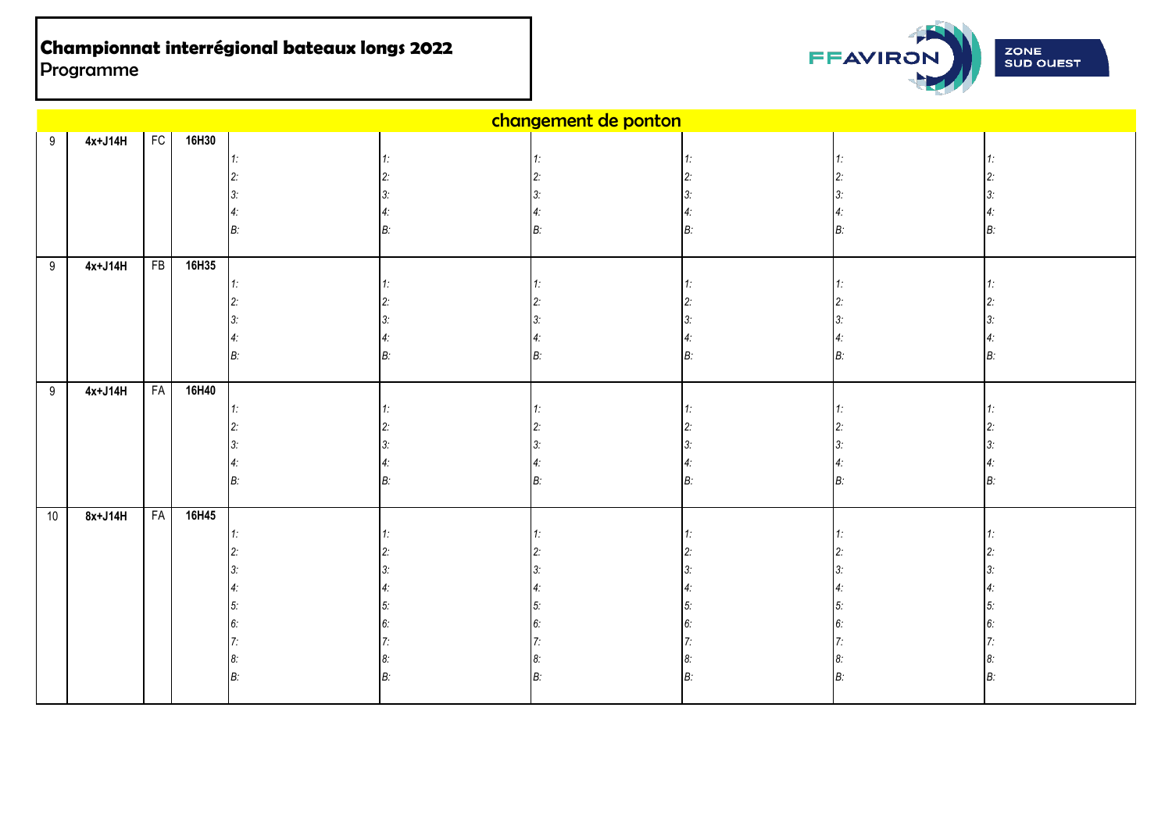

|      |           |           |          |          | changement de ponton |    |    |
|------|-----------|-----------|----------|----------|----------------------|----|----|
| 9    | $4x+J14H$ |           | FC 16H30 |          |                      |    |    |
|      |           |           |          | 1:       |                      |    |    |
|      |           |           |          | 2:       |                      |    |    |
|      |           |           |          |          |                      |    |    |
|      |           |           |          |          |                      |    |    |
|      |           |           |          | B:       |                      | B: | B: |
|      |           |           |          |          |                      |    |    |
| 9    | $4x+J14H$ | FB        | 16H35    |          |                      |    |    |
|      |           |           |          | 1:       |                      |    |    |
|      |           |           |          | 2:       |                      |    |    |
|      |           |           |          | З:       |                      |    |    |
|      |           |           |          | 4:       |                      |    |    |
|      |           |           |          | B:       |                      | B: | B: |
|      |           |           |          |          |                      |    |    |
| 9    | $4x+J14H$ | <b>FA</b> | 16H40    |          |                      |    |    |
|      |           |           |          | 1:       |                      |    |    |
|      |           |           |          |          |                      |    |    |
|      |           |           |          | 3.       |                      |    |    |
|      |           |           |          |          |                      |    | B: |
|      |           |           |          | B:       |                      | B: |    |
| $10$ | $8x+J14H$ | <b>FA</b> | 16H45    |          |                      |    |    |
|      |           |           |          | $1\cdot$ |                      |    |    |
|      |           |           |          |          |                      |    |    |
|      |           |           |          |          |                      |    |    |
|      |           |           |          | 4:       |                      |    |    |
|      |           |           |          | 5:       |                      |    |    |
|      |           |           |          | 6:       |                      |    |    |
|      |           |           |          |          |                      |    |    |
|      |           |           |          | 8:       |                      |    |    |
|      |           |           |          | B:       |                      | В: | R۰ |
|      |           |           |          |          |                      |    |    |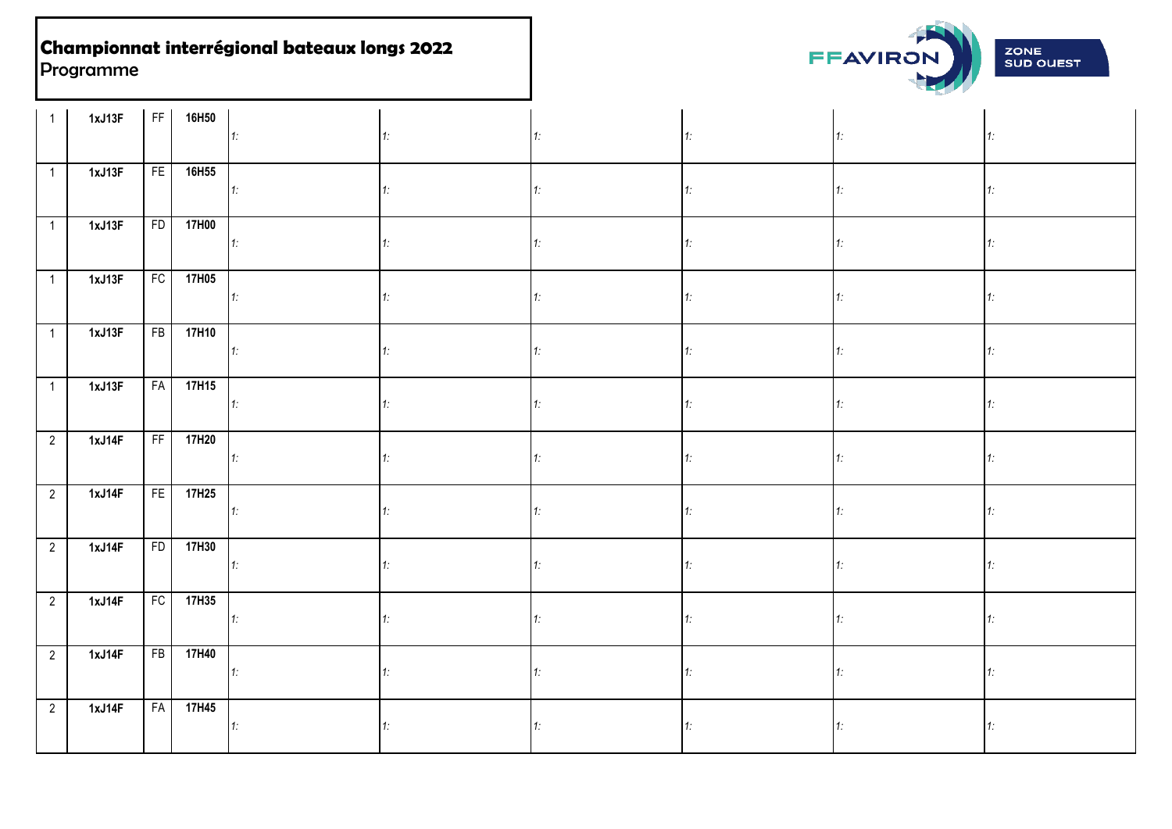

| $\mathbf{1}$   | 1xJ13F |                 | FF 16H50        | 1:                | 1: |    | 1: |    | 1: |
|----------------|--------|-----------------|-----------------|-------------------|----|----|----|----|----|
| $\mathbf{1}$   | 1xJ13F | FE <sup>1</sup> | 16H55           | $\vert 1 \rangle$ | 1. |    |    |    | 1. |
| $\mathbf{1}$   | 1xJ13F | FD              | 17H00           | $\vert 1$ :       | 1. |    | 1: |    | 1: |
| $\overline{1}$ | 1xJ13F |                 | FC 17H05        | 1:                | 1: |    | 1: |    | 1. |
| $\overline{1}$ | 1xJ13F |                 | FB 17H10        | $1$ :             | 1: | 1: | 1: | 1: | 1: |
| $\mathbf{1}$   | 1xJ13F |                 | FA 17H15        | 1:                | 1. | 1: | 1: | 1: | 1: |
| $\overline{2}$ | 1xJ14F |                 | FF 17H20        | $\vert 1 \rangle$ | 1. |    | 1: |    | 1: |
| $\overline{2}$ | 1xJ14F |                 | FE 17H25        | 1:                | 1. | 1: | 1: |    | 1: |
| $\overline{2}$ | 1xJ14F |                 | FD 17H30        | 1:                | 1: |    | 1. |    | 1. |
| $\overline{2}$ | 1xJ14F |                 | FC 17H35        | 1:                | 1. | 1. | 1: |    | 1. |
| $\overline{2}$ | 1xJ14F |                 | FB 17H40        | 1                 | 1: |    | 1: |    | 1. |
| $\overline{2}$ | 1xJ14F |                 | <b>FA</b> 17H45 | $\vert 1 \rangle$ | 1. |    |    |    | 1: |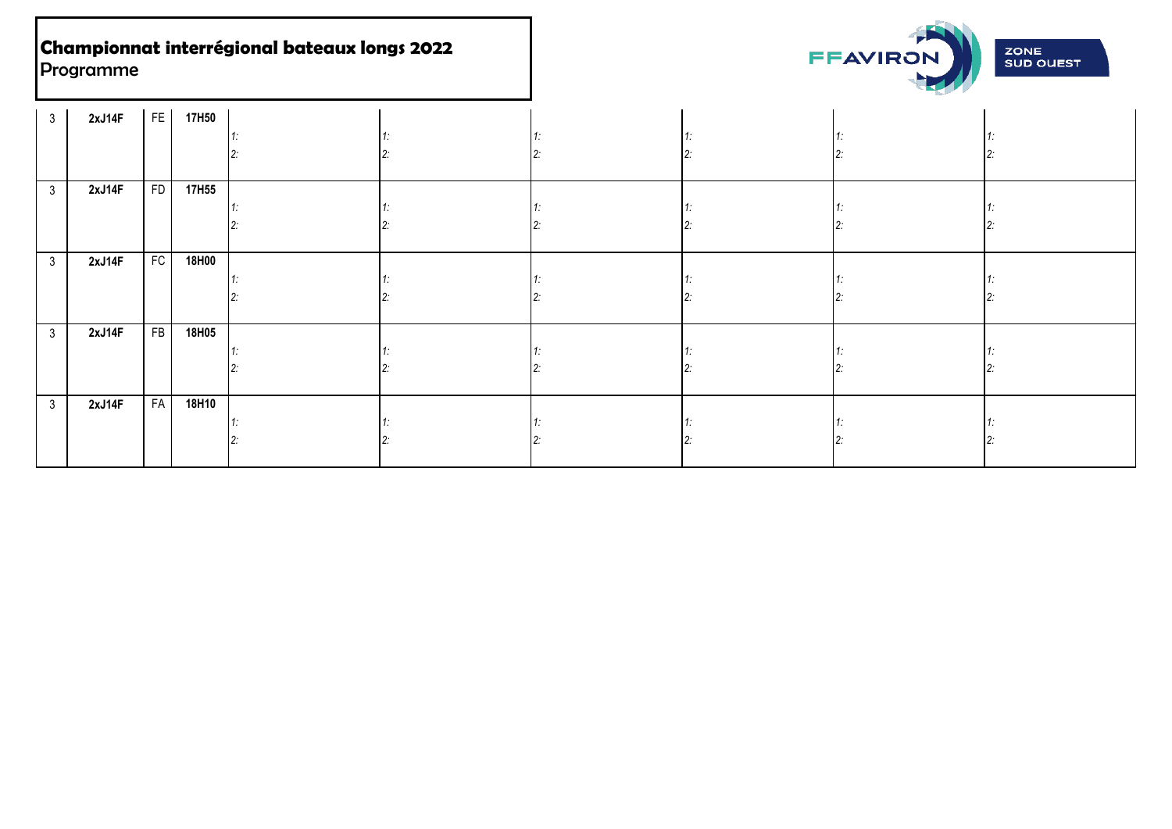

| 3 <sup>1</sup> | 2xJ14F |           | FE 17H50          |  |  |  |
|----------------|--------|-----------|-------------------|--|--|--|
|                |        |           |                   |  |  |  |
| 3 <sup>1</sup> | 2xJ14F | <b>FD</b> | 17H <sub>55</sub> |  |  |  |
| 3 <sup>1</sup> | 2xJ14F | FC        | 18H00             |  |  |  |
| 3 <sup>1</sup> | 2xJ14F | FB        | 18H05             |  |  |  |
| 3 <sup>1</sup> | 2xJ14F | FA        | 18H10             |  |  |  |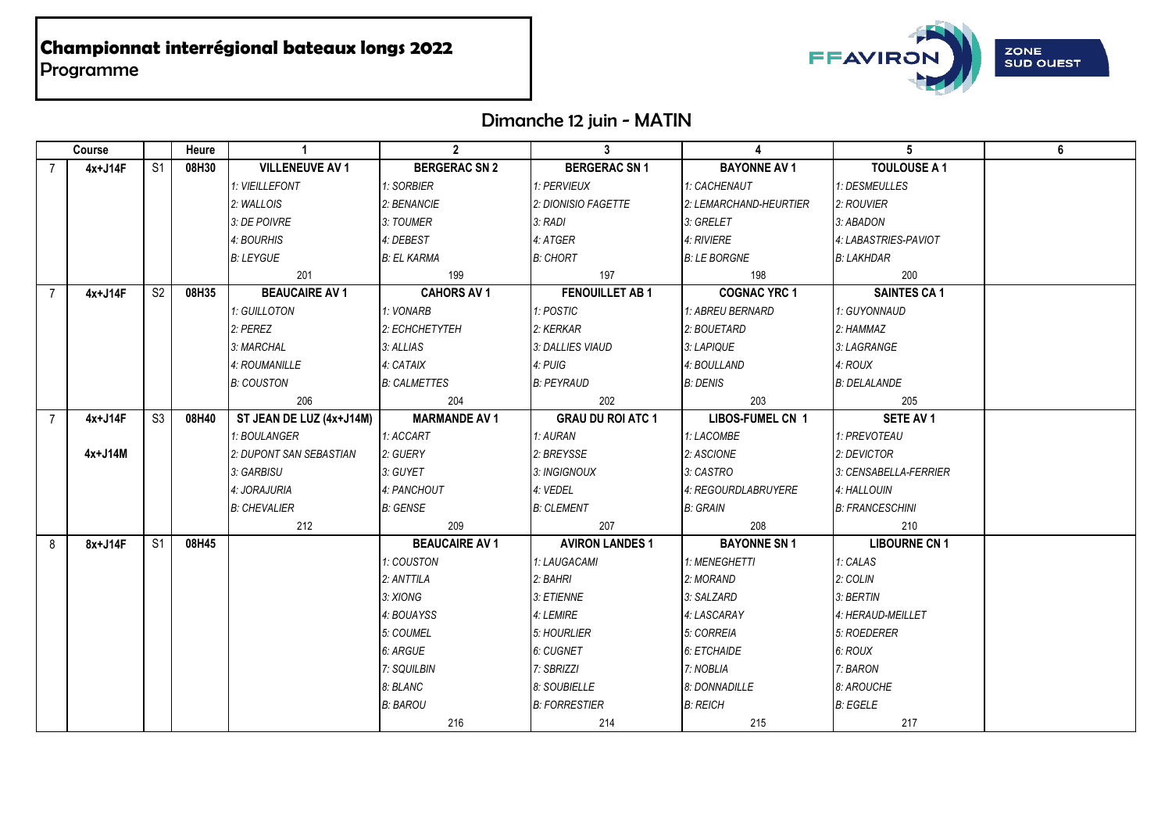

# Dimanche 12 juin - MATIN

|                | Course  |                 | Heure | $\overline{1}$           | $\overline{\mathbf{z}}$ | $\mathbf{3}$             | $\blacktriangle$       | $5\overline{5}$        | 6 |
|----------------|---------|-----------------|-------|--------------------------|-------------------------|--------------------------|------------------------|------------------------|---|
|                | 4x+J14F | S <sub>1</sub>  | 08H30 | <b>VILLENEUVE AV 1</b>   | <b>BERGERAC SN 2</b>    | <b>BERGERAC SN 1</b>     | <b>BAYONNE AV 1</b>    | <b>TOULOUSE A 1</b>    |   |
|                |         |                 |       | 1: VIEILLEFONT           | 1: SORBIER              | 1: PERVIEUX              | 1: CACHENAUT           | 1: DESMEULLES          |   |
|                |         |                 |       | 2: WALLOIS               | 2: BENANCIE             | 2: DIONISIO FAGETTE      | 2: LEMARCHAND-HEURTIER | 2: ROUVIER             |   |
|                |         |                 |       | 3: DE POIVRE             | 3: TOUMER               | 3: RADI                  | 3: GRELET              | 3: ABADON              |   |
|                |         |                 |       | 4: BOURHIS               | 4: DEBEST               | 4: ATGER                 | 4: RIVIERE             | 4: LABASTRIES-PAVIOT   |   |
|                |         |                 |       | <b>B: LEYGUE</b>         | <b>B: EL KARMA</b>      | <b>B: CHORT</b>          | <b>B: LE BORGNE</b>    | <b>B: LAKHDAR</b>      |   |
|                |         |                 |       | 201                      | 199                     | 197                      | 198                    | 200                    |   |
| $\overline{7}$ | 4x+J14F | S <sub>2</sub>  | 08H35 | <b>BEAUCAIRE AV 1</b>    | <b>CAHORS AV 1</b>      | <b>FENOUILLET AB1</b>    | <b>COGNAC YRC 1</b>    | <b>SAINTES CA 1</b>    |   |
|                |         |                 |       | 1: GUILLOTON             | 1: VONARB               | 1: POSTIC                | 1: ABREU BERNARD       | 1: GUYONNAUD           |   |
|                |         |                 |       | 2: PEREZ                 | 2: ECHCHETYTEH          | 2: KERKAR                | 2: BOUETARD            | 2: HAMMAZ              |   |
|                |         |                 |       | 3: MARCHAL               | 3: ALLIAS               | 3: DALLIES VIAUD         | 3: LAPIQUE             | 3: LAGRANGE            |   |
|                |         |                 |       | 4: ROUMANILLE            | 4: CATAIX               | 4: PUIG                  | 4: BOULLAND            | 4: ROUX                |   |
|                |         |                 |       | <b>B: COUSTON</b>        | <b>B: CALMETTES</b>     | <b>B: PEYRAUD</b>        | <b>B: DENIS</b>        | <b>B: DELALANDE</b>    |   |
|                |         |                 |       | 206                      | 204                     | 202                      | 203                    | 205                    |   |
| $\overline{7}$ | 4x+J14F | S3              | 08H40 | ST JEAN DE LUZ (4x+J14M) | <b>MARMANDE AV 1</b>    | <b>GRAU DU ROI ATC 1</b> | LIBOS-FUMEL CN 1       | SETE AV 1              |   |
|                |         |                 |       | 1: BOULANGER             | 1: ACCART               | 1: AURAN                 | 1: LACOMBE             | 1: PREVOTEAU           |   |
|                | 4x+J14M |                 |       | 2: DUPONT SAN SEBASTIAN  | 2: GUERY                | 2: BREYSSE               | 2: ASCIONE             | 2: DEVICTOR            |   |
|                |         |                 |       | 3: GARBISU               | 3: GUYET                | 3: INGIGNOUX             | 3: CASTRO              | 3: CENSABELLA-FERRIER  |   |
|                |         |                 |       | 4: JORAJURIA             | 4: PANCHOUT             | 4: VEDEL                 | 4: REGOURDLABRUYERE    | 4: HALLOUIN            |   |
|                |         |                 |       | <b>B: CHEVALIER</b>      | <b>B: GENSE</b>         | <b>B: CLEMENT</b>        | <b>B: GRAIN</b>        | <b>B: FRANCESCHINI</b> |   |
|                |         |                 |       | 212                      | 209                     | 207                      | 208                    | 210                    |   |
| 8              | 8x+J14F | $\overline{S1}$ | 08H45 |                          | <b>BEAUCAIRE AV 1</b>   | <b>AVIRON LANDES 1</b>   | <b>BAYONNE SN 1</b>    | <b>LIBOURNE CN 1</b>   |   |
|                |         |                 |       |                          | 1: COUSTON              | 1: LAUGACAMI             | 1: MENEGHETTI          | 1: CALAS               |   |
|                |         |                 |       |                          | 2: ANTTILA              | 2: BAHRI                 | 2: MORAND              | 2: COLIN               |   |
|                |         |                 |       |                          | 3: XIONG                | 3: ETIENNE               | 3: SALZARD             | 3: BERTIN              |   |
|                |         |                 |       |                          | 4: BOUAYSS              | 4: LEMIRE                | 4: LASCARAY            | 4: HERAUD-MEILLET      |   |
|                |         |                 |       |                          | 5: COUMEL               | 5: HOURLIER              | 5: CORREIA             | 5: ROEDERER            |   |
|                |         |                 |       |                          | 6: ARGUE                | 6: CUGNET                | 6: ETCHAIDE            | 6: ROUX                |   |
|                |         |                 |       |                          | 7: SQUILBIN             | 7: SBRIZZI               | 7: NOBLIA              | 7: BARON               |   |
|                |         |                 |       |                          | 8: BLANC                | 8: SOUBIELLE             | 8: DONNADILLE          | 8: AROUCHE             |   |
|                |         |                 |       |                          | <b>B: BAROU</b>         | <b>B: FORRESTIER</b>     | <b>B: REICH</b>        | <b>B: EGELE</b>        |   |
|                |         |                 |       |                          | 216                     | 214                      | 215                    | 217                    |   |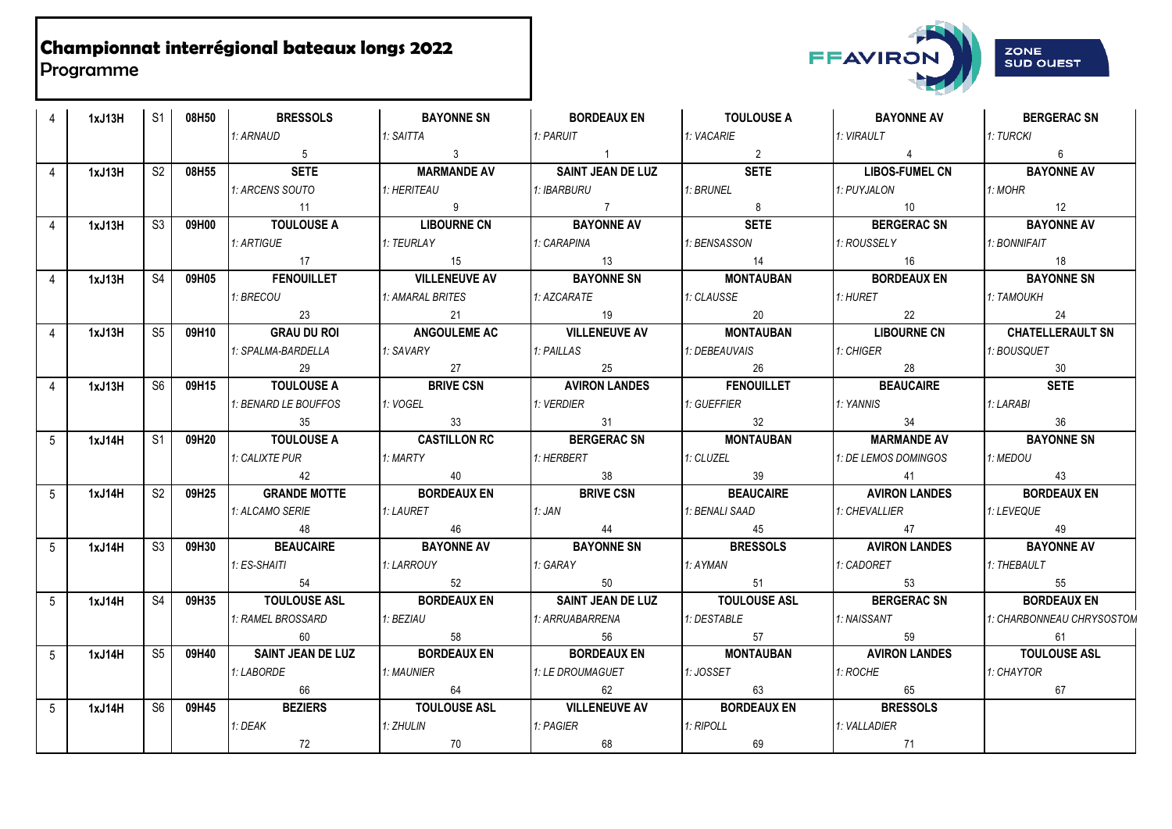

|                | 1xJ13H |    | S1 08H50 1             | <b>BRESSOLS</b>               | <b>BAYONNE SN</b>                   | BORDEAUX EN                      | <b>TOULOUSE A</b>                                                                                          | BAYONNE AV FILM                            | <b>BERGERAC SN</b>        |
|----------------|--------|----|------------------------|-------------------------------|-------------------------------------|----------------------------------|------------------------------------------------------------------------------------------------------------|--------------------------------------------|---------------------------|
|                |        |    |                        | 1: ARNAUD                     | 1: SAITTA                           | 1: PARUIT                        | 1: VACARIE                                                                                                 | 1: VIRAULT                                 | 1: TURCKI                 |
|                |        |    |                        | $5\overline{)}$               | $\overline{\mathbf{3}}$             | $\begin{array}{ccc} \end{array}$ | $\overline{\phantom{a}}$ 2                                                                                 | $\overline{4}$                             | $6\phantom{.}6$           |
| 4              | 1xJ13H |    |                        | <b>SETE</b><br>S2 08H55       | <b>MARMANDE AV</b><br>$\mathbf{L}$  | SAINT JEAN DE LUZ                | <b>SETE</b><br><b>The Common</b>                                                                           | <b>Committee</b><br>LIBOS-FUMEL CN FILID   | <b>BAYONNE AV</b>         |
|                |        |    |                        | 1: ARCENS SOUTO               | 1: HERITEAU                         | 1: IBARBURU                      | 1: BRUNEL                                                                                                  | 1: PUYJALON                                | 1: MOHR                   |
|                |        |    |                        | $\overline{11}$               | 9                                   | $\overline{7}$                   | 8 <sup>1</sup>                                                                                             | 10                                         | 12                        |
|                | 1xJ13H | S3 |                        | 09H00 TOULOUSE A              | <b>LIBOURNE CN</b>                  | BAYONNE AV                       | <b>SETE</b>                                                                                                | BERGERAC SN BAYONNE AV                     |                           |
|                |        |    |                        | 1: ARTIGUE                    | 1: TEURLAY                          | 1: CARAPINA                      | 1: BENSASSON                                                                                               | 1: ROUSSELY 1: BONNIFAIT                   |                           |
|                |        |    |                        | 17                            | 15                                  | 13                               | 14                                                                                                         | 16                                         | $\overline{18}$           |
|                | 1xJ13H | S4 | 09H05                  | <b>FENOUILLET</b>             | VILLENEUVE AV BAYONNE SN            |                                  | <b>MONTAUBAN</b>                                                                                           | BORDEAUX EN                                | <b>BAYONNE SN</b>         |
|                |        |    |                        | 1: BRECOU                     | 1: AMARAL BRITES                    | 1: AZCARATE                      | 1: CLAUSSE                                                                                                 | 1: HURET                                   | 1: TAMOUKH                |
|                |        |    |                        | 23                            | 21                                  | 19                               | 20                                                                                                         | $\overline{22}$                            | 24                        |
| $\Delta$       | 1xJ13H |    | S5 09H10               |                               |                                     |                                  | GRAU DU ROI   ANGOULEME AC   VILLENEUVE AV   MONTAUBAN   LIBOURNE CN CHATELLERAULT SN                      |                                            |                           |
|                |        |    |                        | 1: SPALMA-BARDELLA            | 1: SAVARY                           | 1: PAILLAS                       | 1: DEBEAUVAIS                                                                                              | 1: CHIGER                                  | 1: BOUSQUET               |
|                |        |    |                        | 29                            | 27<br>27<br>BRIVE CSN               | $\frac{1}{2}$ 25                 | 26                                                                                                         | 28                                         | 30                        |
| 4              | 1xJ13H |    | S6 09H15               | <b>TOULOUSE A</b>             |                                     |                                  | AVIRON LANDES FENOUILLET   BEAUCAIRE                                                                       |                                            | <b>SETE</b>               |
|                |        |    |                        | 1: BENARD LE BOUFFOS          | 1: VOGEL                            | 1: VERDIER                       | 1: GUEFFIER                                                                                                | 1: YANNIS                                  | 1: LARABI                 |
|                |        |    |                        | 35                            | $\begin{array}{ccc} \end{array}$ 33 | $\sim$ 31                        | 32                                                                                                         | $\frac{34}{2}$                             | 36                        |
|                |        |    |                        |                               |                                     |                                  |                                                                                                            |                                            |                           |
| $5^{\circ}$    | 1xJ14H |    |                        |                               |                                     |                                  | S1 09H20   TOULOUSE A   CASTILLON RC   BERGERAC SN   MONTAUBAN   MARMANDE AV                               |                                            | <b>BAYONNE SN</b>         |
|                |        |    |                        | 1: CALIXTE PUR                | 1: MARTY                            | 1: HERBERT                       | 1: CLUZEL                                                                                                  | 1: DE LEMOS DOMINGOS                       | 1: MEDOU                  |
|                |        |    |                        | 42                            | $\sim$ 40                           | $\overline{\phantom{a}}$ 38      | $\frac{39}{2}$                                                                                             | $\begin{array}{ccc} \hline \end{array}$ 41 | $\sim$ 43                 |
| $5^{\circ}$    | 1xJ14H | S2 |                        | 09H25 GRANDE MOTTE            | <b>BORDEAUX EN</b>                  | <b>BRIVE CSN</b>                 | <b>SEAUCAIRE</b>   AVIRON LANDES   BORDEAUX EN                                                             |                                            |                           |
|                |        |    |                        | 1: ALCAMO SERIE               | 1: LAURET                           | $1:$ JAN                         | 1: BENALI SAAD                                                                                             | 1: CHEVALLIER 1: LEVEQUE                   |                           |
|                |        |    |                        | 48                            | 46                                  | 44                               | $\frac{1}{2}$ 45                                                                                           | 47                                         | $\frac{1}{49}$            |
| $5^{\circ}$    | 1xJ14H |    | S3 09H30               | BEAUCAIRE                     | <b>BAYONNE AV</b>                   | <b>BAYONNE SN</b>                | <b>BRESSOLS</b>                                                                                            | AVIRON LANDES                              | <b>BAYONNE AV</b>         |
|                |        |    |                        | 1: ES-SHAITI                  | 1: LARROUY                          | 1: GARAY                         | 1: AYMAN                                                                                                   | 1: CADORET                                 | 1: THEBAULT               |
|                |        |    |                        | 54                            | 52                                  | 50                               | $\overline{51}$                                                                                            | 53                                         | 55                        |
| 5 <sup>1</sup> | 1xJ14H |    | S4 09H35               | TOULOUSE ASL BORDEAUX EN      |                                     | SAINT JEAN DE LUZ   TOULOUSE ASL |                                                                                                            | BERGERAC SN BORDEAUX EN                    |                           |
|                |        |    |                        | 1: RAMEL BROSSARD             | 1: BEZIAU                           | 1: ARRUABARRENA                  | 1: DESTABLE                                                                                                | 1: NAISSANT                                | 1: CHARBONNEAU CHRYSOSTOM |
|                |        |    |                        | 60                            | 58                                  | 56                               | 57                                                                                                         | 59                                         | 61                        |
| $\overline{5}$ | 1xJ14H |    | S <sub>5</sub>   09H40 | SAINT JEAN DE LUZ BORDEAUX EN |                                     | BORDEAUX EN                      | <b>MONTAUBAN</b>                                                                                           | AVIRON LANDES TOULOUSE ASL                 |                           |
|                |        |    |                        | 1: LABORDE                    | 1: MAUNIER                          | 1: LE DROUMAGUET                 | 1: JOSSET                                                                                                  | 1: ROCHE                                   | 1: CHAYTOR                |
|                |        |    |                        |                               |                                     |                                  | 62 63                                                                                                      | $\overline{65}$                            | 67                        |
| $5^{\circ}$    | 1xJ14H |    | S6 09H45               | <b>BEZIERS</b>                |                                     |                                  | TOULOUSE ASL TOULOUSE ASL TOULOUSE ASL TOULOUSE ASL TOULOUSE ASL TOULOUSE AT THE THE MELT AND THE BRESSOLS |                                            |                           |
|                |        |    |                        | 1: DEAK                       | 1: ZHULIN<br>70                     | 1: PAGIER<br>68                  | 1: RIPOLL<br>$\begin{bmatrix} 69 \end{bmatrix}$                                                            | 1: VALLADIER<br>$\overline{71}$            |                           |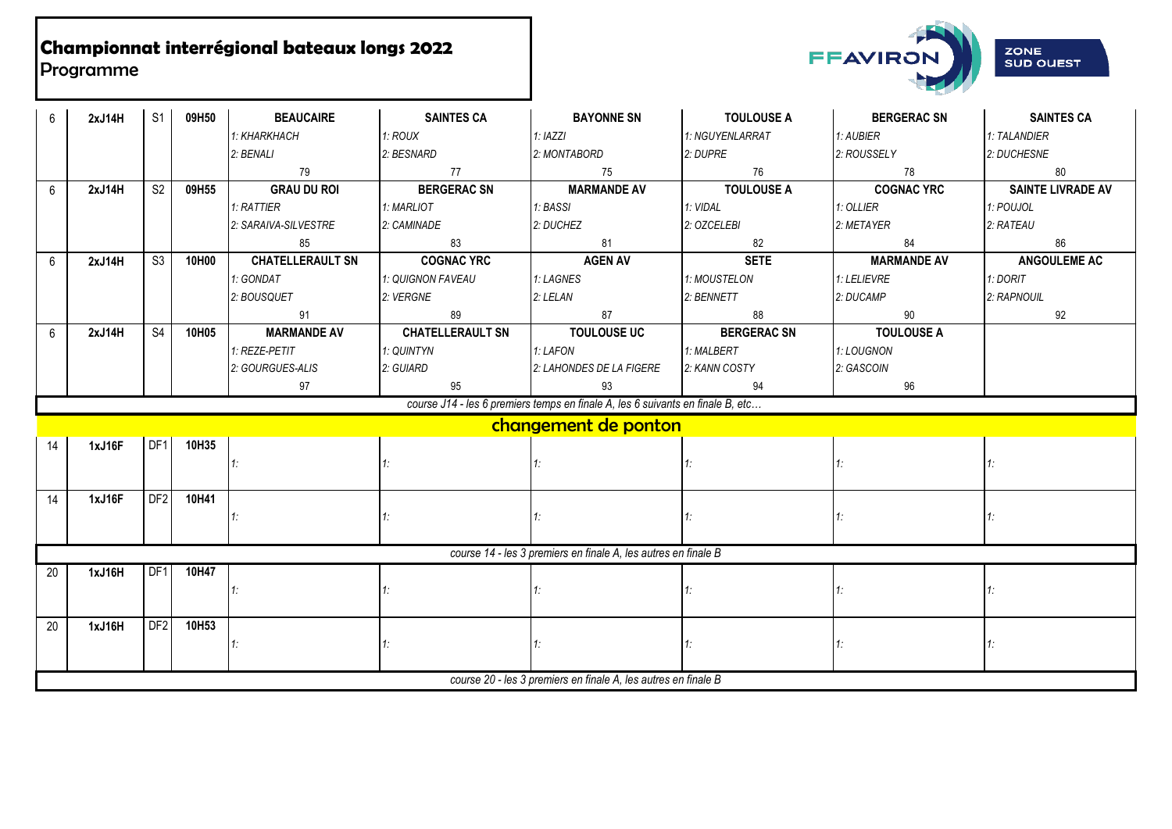

| 6  | 2xJ14H | S <sub>1</sub>  | 09H50 | <b>BEAUCAIRE</b>        | <b>SAINTES CA</b>       | <b>BAYONNE SN</b>                                                              | <b>TOULOUSE A</b>  | <b>BERGERAC SN</b> | <b>SAINTES CA</b>        |
|----|--------|-----------------|-------|-------------------------|-------------------------|--------------------------------------------------------------------------------|--------------------|--------------------|--------------------------|
|    |        |                 |       | 1: KHARKHACH            | 1: ROUX                 | 1: IAZZI                                                                       | 1: NGUYENLARRAT    | 1: AUBIER          | 1: TALANDIER             |
|    |        |                 |       | 2: BENALI               | 2: BESNARD              | 2: MONTABORD                                                                   | 2: DUPRE           | 2: ROUSSELY        | 2: DUCHESNE              |
|    |        |                 |       | 79                      | 77                      | 75                                                                             | 76                 | 78                 | 80                       |
| 6  | 2xJ14H | S <sub>2</sub>  | 09H55 | <b>GRAU DU ROI</b>      | <b>BERGERAC SN</b>      | <b>MARMANDE AV</b>                                                             | <b>TOULOUSE A</b>  | <b>COGNAC YRC</b>  | <b>SAINTE LIVRADE AV</b> |
|    |        |                 |       | 1: RATTIER              | 1: MARLIOT              | 1: BASSI                                                                       | 1: VIDAL           | $1:$ OLLIER        | 1: POUJOL                |
|    |        |                 |       | 2: SARAIVA-SILVESTRE    | 2: CAMINADE             | 2: DUCHEZ                                                                      | 2: OZCELEBI        | 2: METAYER         | 2: RATEAU                |
|    |        |                 |       | 85                      | 83                      | 81                                                                             | 82                 | 84                 | 86                       |
| 6  | 2xJ14H | S <sub>3</sub>  | 10H00 | <b>CHATELLERAULT SN</b> | <b>COGNAC YRC</b>       | <b>AGEN AV</b>                                                                 | <b>SETE</b>        | <b>MARMANDE AV</b> | ANGOULEME AC             |
|    |        |                 |       | 1: GONDAT               | 1: QUIGNON FAVEAU       | 1: LAGNES                                                                      | 1: MOUSTELON       | 1: LELIEVRE        | 1: DORIT                 |
|    |        |                 |       | 2: BOUSQUET             | 2: VERGNE               | 2: LELAN                                                                       | 2: BENNETT         | 2: DUCAMP          | 2: RAPNOUIL              |
|    |        |                 |       | 91                      | 89                      | 87                                                                             | 88                 | 90                 | 92                       |
| 6  | 2xJ14H | S <sub>4</sub>  | 10H05 | <b>MARMANDE AV</b>      | <b>CHATELLERAULT SN</b> | <b>TOULOUSE UC</b>                                                             | <b>BERGERAC SN</b> | <b>TOULOUSE A</b>  |                          |
|    |        |                 |       | 1: REZE-PETIT           | 1: QUINTYN              | 1: LAFON                                                                       | 1: MALBERT         | 1: LOUGNON         |                          |
|    |        |                 |       | 2: GOURGUES-ALIS        | 2: GUIARD               | 2: LAHONDES DE LA FIGERE                                                       | 2: KANN COSTY      | 2: GASCOIN         |                          |
|    |        |                 |       | 97                      | 95                      | 93                                                                             | 94                 | 96                 |                          |
|    |        |                 |       |                         |                         | course J14 - les 6 premiers temps en finale A, les 6 suivants en finale B, etc |                    |                    |                          |
|    |        |                 |       |                         |                         | changement de ponton                                                           |                    |                    |                          |
| 14 | 1xJ16F | DF1             | 10H35 |                         |                         |                                                                                |                    |                    |                          |
|    |        |                 |       | 1:                      |                         |                                                                                | 1:                 | 1:                 |                          |
|    |        |                 |       |                         |                         |                                                                                |                    |                    |                          |
| 14 | 1xJ16F | DF2             | 10H41 |                         |                         |                                                                                |                    |                    |                          |
|    |        |                 |       | 1:                      |                         | 1:                                                                             | 1:                 | 1:                 |                          |
|    |        |                 |       |                         |                         |                                                                                |                    |                    |                          |
|    |        |                 |       |                         |                         | course 14 - les 3 premiers en finale A, les autres en finale B                 |                    |                    |                          |
| 20 | 1xJ16H | DF1             | 10H47 |                         |                         |                                                                                |                    |                    |                          |
|    |        |                 |       | 1:                      |                         |                                                                                | 1:                 | 1:                 |                          |
|    |        |                 |       |                         |                         |                                                                                |                    |                    |                          |
| 20 | 1xJ16H | DF <sub>2</sub> | 10H53 |                         |                         |                                                                                |                    |                    |                          |
|    |        |                 |       | 1:                      |                         |                                                                                | 1:                 | 1:                 |                          |
|    |        |                 |       |                         |                         |                                                                                |                    |                    |                          |
|    |        |                 |       |                         |                         | course 20 - les 3 premiers en finale A, les autres en finale B                 |                    |                    |                          |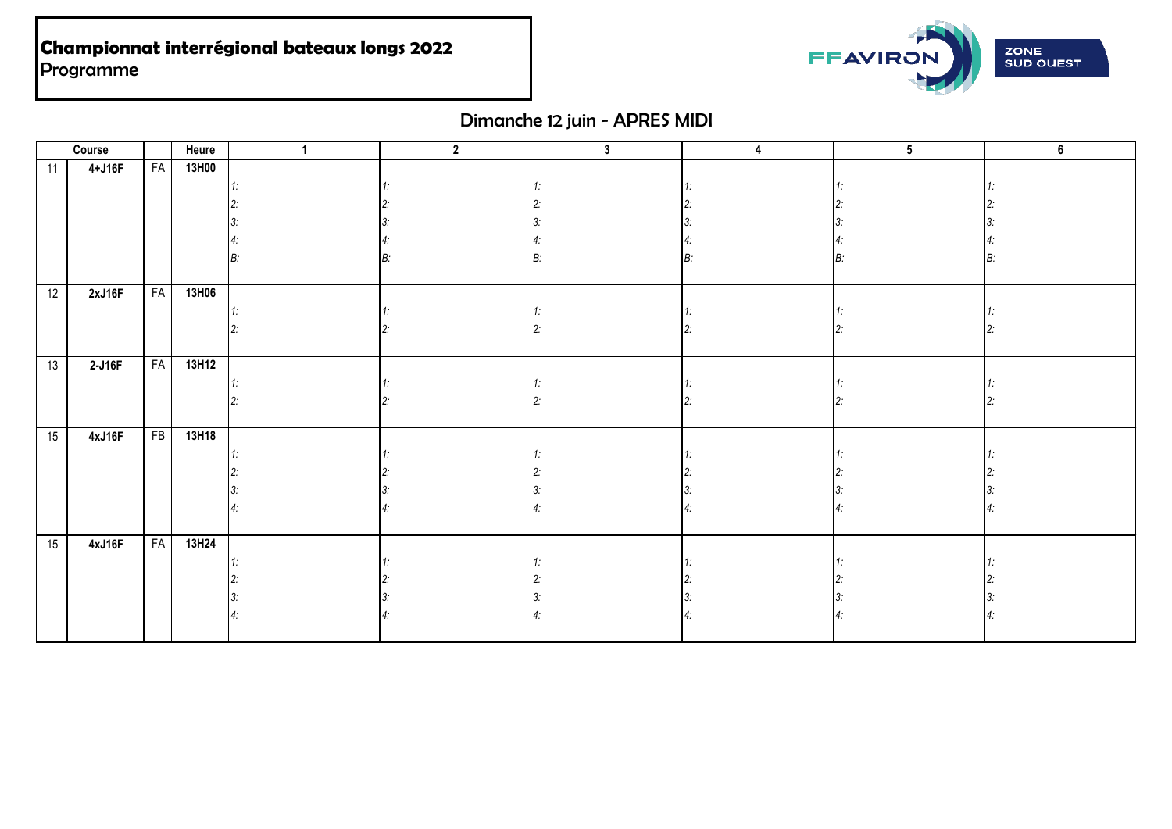

# Dimanche 12 juin - APRES MIDI

|    | Course |           | Heure | -1 | $\overline{2}$ | $\mathbf{3}$ | 4 | $\overline{5}$ | $\overline{\mathbf{6}}$ |
|----|--------|-----------|-------|----|----------------|--------------|---|----------------|-------------------------|
| 11 | 4+J16F | FA        | 13H00 |    |                |              |   |                |                         |
|    |        |           |       |    |                |              |   |                |                         |
|    |        |           |       |    |                |              |   |                |                         |
|    |        |           |       |    |                |              |   |                |                         |
|    |        |           |       |    |                |              |   |                |                         |
|    |        |           |       |    |                |              |   |                |                         |
|    |        |           |       |    |                |              |   |                |                         |
| 12 | 2xJ16F | <b>FA</b> | 13H06 |    |                |              |   |                |                         |
|    |        |           |       |    |                |              |   |                |                         |
|    |        |           |       |    |                |              |   |                |                         |
|    |        |           |       |    |                |              |   |                |                         |
| 13 | 2-J16F | <b>FA</b> | 13H12 |    |                |              |   |                |                         |
|    |        |           |       |    |                |              |   |                |                         |
|    |        |           |       |    |                |              |   |                |                         |
|    |        |           |       |    |                |              |   |                |                         |
| 15 | 4xJ16F | FB        | 13H18 |    |                |              |   |                |                         |
|    |        |           |       |    |                |              |   |                |                         |
|    |        |           |       |    |                |              |   |                |                         |
|    |        |           |       |    |                |              |   |                |                         |
|    |        |           |       |    |                |              |   |                |                         |
|    |        |           |       |    |                |              |   |                |                         |
| 15 | 4xJ16F | <b>FA</b> | 13H24 |    |                |              |   |                |                         |
|    |        |           |       |    |                |              |   |                |                         |
|    |        |           |       |    |                |              |   |                |                         |
|    |        |           |       |    |                |              |   |                |                         |
|    |        |           |       |    |                |              |   |                |                         |
|    |        |           |       |    |                |              |   |                |                         |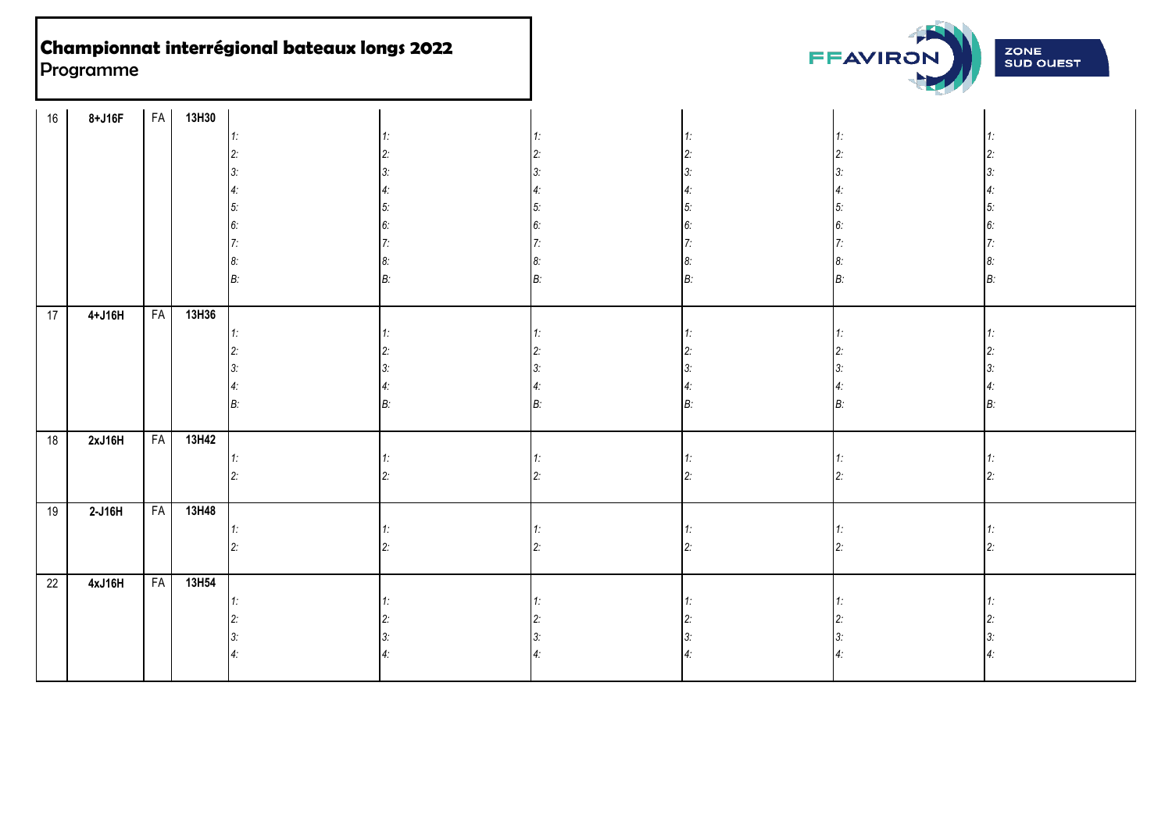

| 16 | 8+J16F   |           | FA 13H30 |    |  |    |    |
|----|----------|-----------|----------|----|--|----|----|
|    |          |           |          | 1: |  |    |    |
|    |          |           |          |    |  |    |    |
|    |          |           |          |    |  |    |    |
|    |          |           |          |    |  |    |    |
|    |          |           |          | 5. |  |    |    |
|    |          |           |          |    |  |    |    |
|    |          |           |          |    |  |    |    |
|    |          |           |          |    |  |    |    |
|    |          |           |          | B  |  | B: | B. |
|    |          |           |          |    |  |    |    |
| 17 | $4+J16H$ | <b>FA</b> | 13H36    |    |  |    |    |
|    |          |           |          | 1: |  |    |    |
|    |          |           |          |    |  |    |    |
|    |          |           |          |    |  |    |    |
|    |          |           |          |    |  |    |    |
|    |          |           |          | B  |  | B: |    |
|    |          |           |          |    |  |    |    |
| 18 | 2xJ16H   | <b>FA</b> | 13H42    |    |  |    |    |
|    |          |           |          |    |  |    |    |
|    |          |           |          |    |  |    |    |
|    |          |           |          |    |  |    |    |
| 19 | $2-J16H$ |           | FA 13H48 |    |  |    |    |
|    |          |           |          |    |  |    |    |
|    |          |           |          |    |  |    |    |
|    |          |           |          |    |  |    |    |
| 22 | 4xJ16H   | <b>FA</b> | 13H54    |    |  |    |    |
|    |          |           |          |    |  |    |    |
|    |          |           |          |    |  |    |    |
|    |          |           |          |    |  |    |    |
|    |          |           |          |    |  |    |    |
|    |          |           |          |    |  |    |    |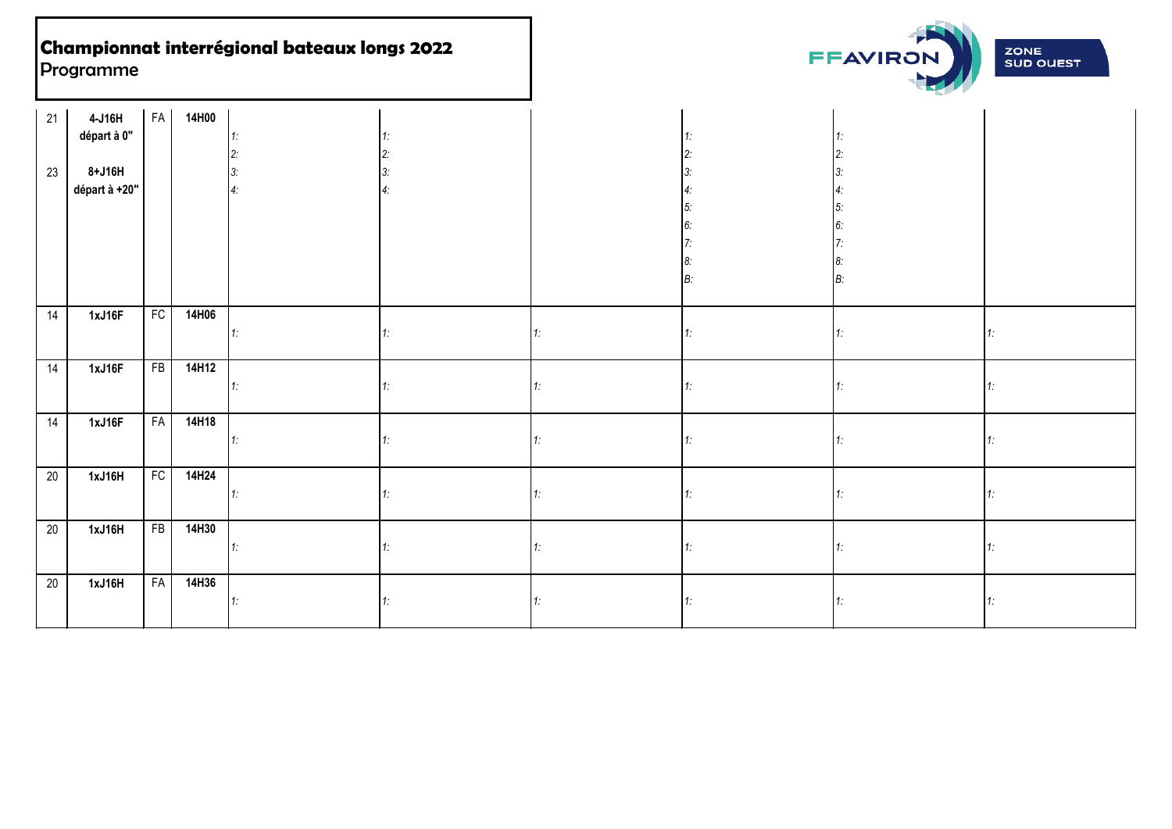

| 21 | 4-J16H                    | <b>FA</b> | 14H00 |          |    |     |    |          |  |
|----|---------------------------|-----------|-------|----------|----|-----|----|----------|--|
|    | départ à 0"               |           |       | 1:       |    |     |    |          |  |
|    |                           |           |       | 2:       |    |     |    |          |  |
| 23 | $8+J16H$<br>départ à +20" |           |       | З.<br>4: |    |     |    | 3.       |  |
|    |                           |           |       |          |    |     |    | 4.<br>5. |  |
|    |                           |           |       |          |    |     |    | 6.       |  |
|    |                           |           |       |          |    |     |    |          |  |
|    |                           |           |       |          |    |     |    | 8.       |  |
|    |                           |           |       |          |    |     |    | B:       |  |
|    |                           |           |       |          |    |     |    |          |  |
| 14 | 1xJ16F                    | FC        | 14H06 |          |    |     |    |          |  |
|    |                           |           |       | 1:       | 1: |     |    | 1:       |  |
|    |                           |           |       |          |    |     |    |          |  |
| 14 | 1xJ16F                    | FB        | 14H12 |          |    |     |    |          |  |
|    |                           |           |       | 1:       |    |     |    | 1:       |  |
| 14 | 1xJ16F                    | FA        | 14H18 |          |    |     |    |          |  |
|    |                           |           |       | 1:       |    |     |    | 1:       |  |
|    |                           |           |       |          |    |     |    |          |  |
| 20 | 1xJ16H                    | FC        | 14H24 |          |    |     |    |          |  |
|    |                           |           |       | 1:       |    |     |    | 1:       |  |
|    |                           |           |       |          |    |     |    |          |  |
| 20 | 1xJ16H                    | FB        | 14H30 |          |    |     |    |          |  |
|    |                           |           |       | 1:       | 1: | 1:  | 1: | 1:       |  |
|    |                           |           |       |          |    |     |    |          |  |
| 20 | 1xJ16H                    | FA        | 14H36 |          |    |     |    |          |  |
|    |                           |           |       | 1:       | 1: | 11: | 1: | 1:       |  |
|    |                           |           |       |          |    |     |    |          |  |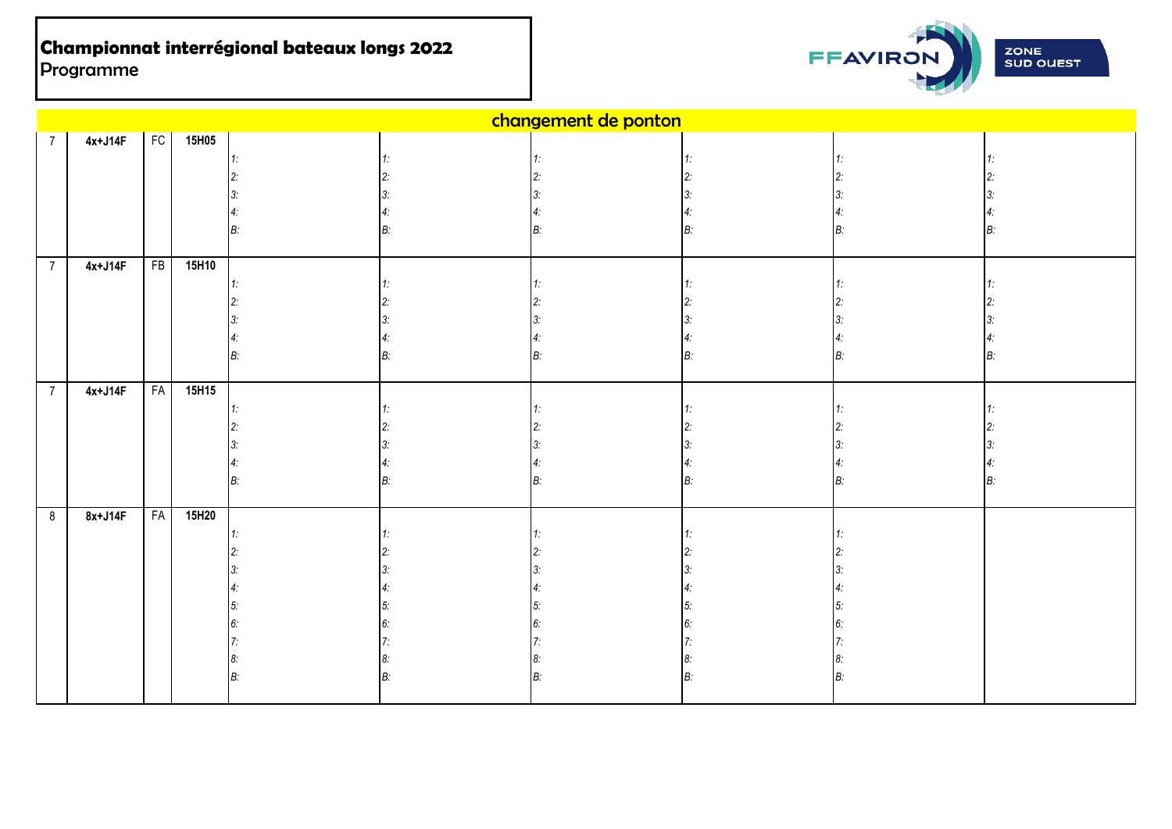

|                | changement de ponton |           |          |    |  |  |    |  |       |
|----------------|----------------------|-----------|----------|----|--|--|----|--|-------|
| $\overline{7}$ | $4x+J14F$            |           | FC 15H05 |    |  |  |    |  |       |
|                |                      |           |          | 1. |  |  |    |  |       |
|                |                      |           |          | 2: |  |  |    |  |       |
|                |                      |           |          |    |  |  |    |  |       |
|                |                      |           |          |    |  |  |    |  |       |
|                |                      |           |          | B: |  |  |    |  |       |
|                |                      |           |          |    |  |  |    |  |       |
| $\overline{7}$ | $4x+J14F$            | FB        | 15H10    |    |  |  |    |  |       |
|                |                      |           |          | 1: |  |  |    |  |       |
|                |                      |           |          |    |  |  |    |  |       |
|                |                      |           |          | 3. |  |  |    |  |       |
|                |                      |           |          |    |  |  |    |  |       |
|                |                      |           |          | B: |  |  | B: |  |       |
| $\overline{7}$ | $4x+J14F$            | <b>FA</b> | 15H15    |    |  |  |    |  |       |
|                |                      |           |          | 1: |  |  |    |  |       |
|                |                      |           |          |    |  |  |    |  |       |
|                |                      |           |          |    |  |  |    |  |       |
|                |                      |           |          |    |  |  |    |  |       |
|                |                      |           |          | B: |  |  | B: |  | $B$ : |
|                |                      |           |          |    |  |  |    |  |       |
| 8              | 8x+J14F              | <b>FA</b> | 15H20    |    |  |  |    |  |       |
|                |                      |           |          | 1. |  |  |    |  |       |
|                |                      |           |          |    |  |  |    |  |       |
|                |                      |           |          |    |  |  |    |  |       |
|                |                      |           |          | 4: |  |  |    |  |       |
|                |                      |           |          | 5. |  |  |    |  |       |
|                |                      |           |          | 6. |  |  |    |  |       |
|                |                      |           |          |    |  |  |    |  |       |
|                |                      |           |          | 8: |  |  |    |  |       |
|                |                      |           |          | B: |  |  |    |  |       |
|                |                      |           |          |    |  |  |    |  |       |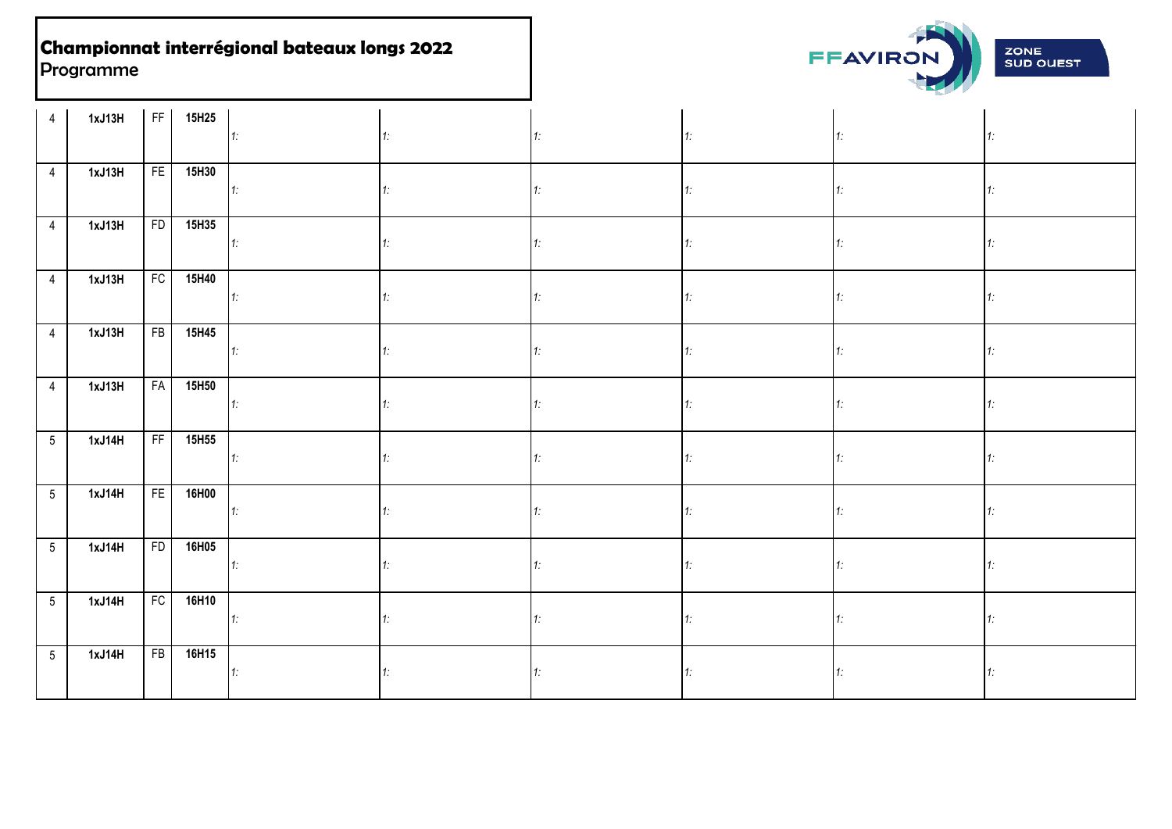

| 4               | 1xJ13H |    | FF 15H25 | $\mathbf{11}$ | 1: |    | 1:             | 1:          |
|-----------------|--------|----|----------|---------------|----|----|----------------|-------------|
| $\overline{4}$  | 1xJ13H |    | FE 15H30 | 1             | 1: | 1: | 1:             | 1:          |
| $\overline{4}$  | 1xJ13H |    | FD 15H35 | $\vert$ 1:    | 1: | 1: | $1^{\circ}$    | 1.          |
| $\overline{4}$  | 1xJ13H | FC | 15H40    | $\vert$ 1:    | 1: |    | 1 <sup>1</sup> | 1.          |
| $\overline{4}$  | 1xJ13H |    | FB 15H45 | 1             | 1: | 1: | 1:             | 1:          |
| $\overline{4}$  | 1xJ13H | FA | 15H50    | $1$ :         | 1: | 1: | 1:             | 1.          |
| 5 <sub>5</sub>  | 1xJ14H |    | FF 15H55 | $\mathbf{1}$  | 1: |    | 1:             | $1^{\circ}$ |
| 5 <sub>5</sub>  | 1xJ14H |    | FE 16H00 | $\mathbf{1}$  |    |    | 1:             | 1:          |
| $5\overline{)}$ | 1xJ14H |    | FD 16H05 | 1:            |    |    | 1 <sup>1</sup> | 1.          |
| $5\overline{)}$ | 1xJ14H | FC | 16H10    | $\vert$ 1:    | 1: |    | 1.             | 1:          |
| 5 <sub>5</sub>  | 1xJ14H |    | FB 16H15 | 1:            |    |    |                | 1:          |